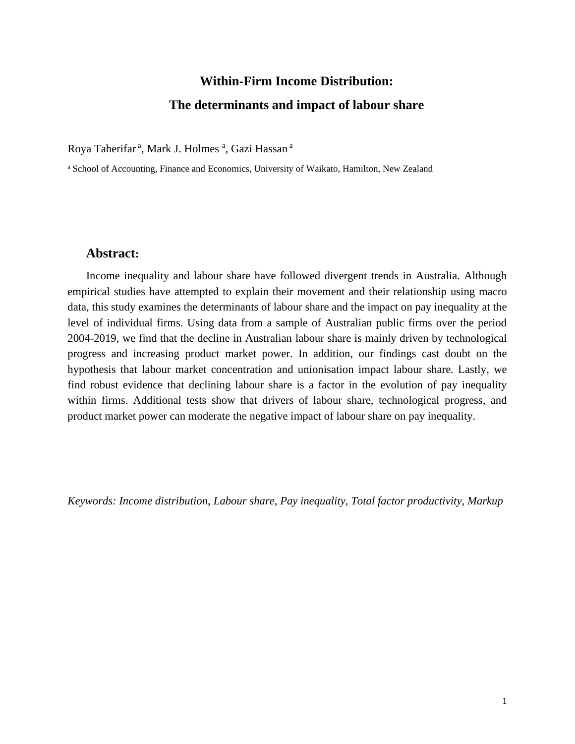## **Within-Firm Income Distribution: The determinants and impact of labour share**

Roya Taherifar<sup>a</sup>, Mark J. Holmes<sup>a</sup>, Gazi Hassan<sup>a</sup>

<sup>a</sup> School of Accounting, Finance and Economics, University of Waikato, Hamilton, New Zealand

## **Abstract:**

Income inequality and labour share have followed divergent trends in Australia. Although empirical studies have attempted to explain their movement and their relationship using macro data, this study examines the determinants of labour share and the impact on pay inequality at the level of individual firms. Using data from a sample of Australian public firms over the period 2004-2019, we find that the decline in Australian labour share is mainly driven by technological progress and increasing product market power. In addition, our findings cast doubt on the hypothesis that labour market concentration and unionisation impact labour share. Lastly, we find robust evidence that declining labour share is a factor in the evolution of pay inequality within firms. Additional tests show that drivers of labour share, technological progress, and product market power can moderate the negative impact of labour share on pay inequality.

*Keywords: Income distribution, Labour share, Pay inequality, Total factor productivity, Markup*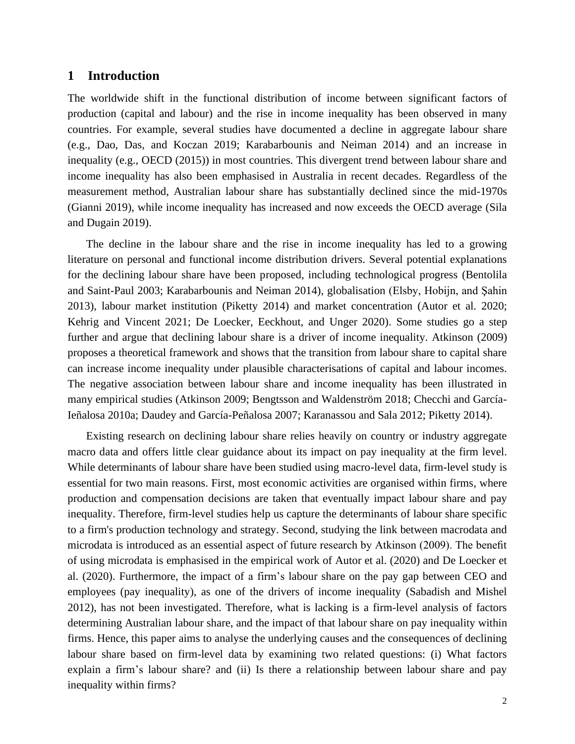## **1 Introduction**

The worldwide shift in the functional distribution of income between significant factors of production (capital and labour) and the rise in income inequality has been observed in many countries. For example, several studies have documented a decline in aggregate labour share (e.g., Dao, Das, and Koczan 2019; Karabarbounis and Neiman 2014) and an increase in inequality (e.g., OECD (2015)) in most countries. This divergent trend between labour share and income inequality has also been emphasised in Australia in recent decades. Regardless of the measurement method, Australian labour share has substantially declined since the mid-1970s (Gianni 2019), while income inequality has increased and now exceeds the OECD average (Sila and Dugain 2019).

The decline in the labour share and the rise in income inequality has led to a growing literature on personal and functional income distribution drivers. Several potential explanations for the declining labour share have been proposed, including technological progress (Bentolila and Saint-Paul 2003; Karabarbounis and Neiman 2014), globalisation (Elsby, Hobijn, and Şahin 2013), labour market institution (Piketty 2014) and market concentration (Autor et al. 2020; Kehrig and Vincent 2021; De Loecker, Eeckhout, and Unger 2020). Some studies go a step further and argue that declining labour share is a driver of income inequality. Atkinson (2009) proposes a theoretical framework and shows that the transition from labour share to capital share can increase income inequality under plausible characterisations of capital and labour incomes. The negative association between labour share and income inequality has been illustrated in many empirical studies (Atkinson 2009; Bengtsson and Waldenström 2018; Checchi and García-Ieñalosa 2010a; Daudey and García-Peñalosa 2007; Karanassou and Sala 2012; Piketty 2014).

Existing research on declining labour share relies heavily on country or industry aggregate macro data and offers little clear guidance about its impact on pay inequality at the firm level. While determinants of labour share have been studied using macro-level data, firm-level study is essential for two main reasons. First, most economic activities are organised within firms, where production and compensation decisions are taken that eventually impact labour share and pay inequality. Therefore, firm-level studies help us capture the determinants of labour share specific to a firm's production technology and strategy. Second, studying the link between macrodata and microdata is introduced as an essential aspect of future research by Atkinson (2009). The benefit of using microdata is emphasised in the empirical work of Autor et al. (2020) and De Loecker et al. (2020). Furthermore, the impact of a firm's labour share on the pay gap between CEO and employees (pay inequality), as one of the drivers of income inequality (Sabadish and Mishel 2012), has not been investigated. Therefore, what is lacking is a firm-level analysis of factors determining Australian labour share, and the impact of that labour share on pay inequality within firms. Hence, this paper aims to analyse the underlying causes and the consequences of declining labour share based on firm-level data by examining two related questions: (i) What factors explain a firm's labour share? and (ii) Is there a relationship between labour share and pay inequality within firms?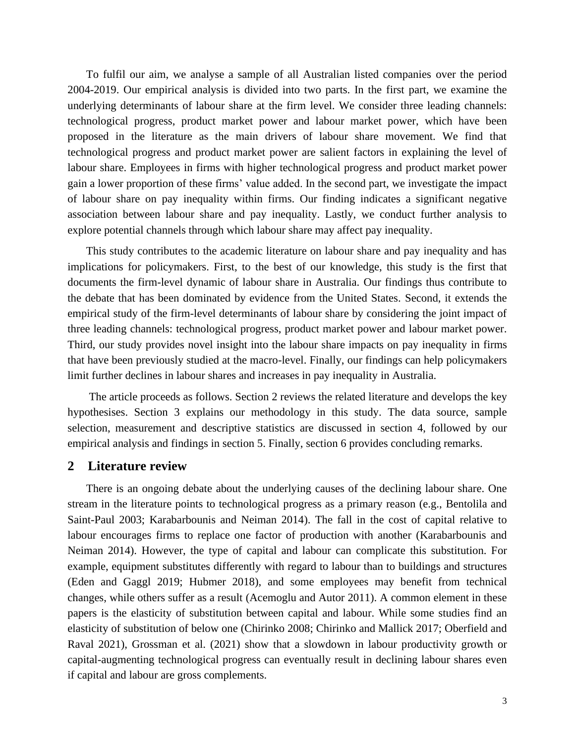To fulfil our aim, we analyse a sample of all Australian listed companies over the period 2004-2019. Our empirical analysis is divided into two parts. In the first part, we examine the underlying determinants of labour share at the firm level. We consider three leading channels: technological progress, product market power and labour market power, which have been proposed in the literature as the main drivers of labour share movement. We find that technological progress and product market power are salient factors in explaining the level of labour share. Employees in firms with higher technological progress and product market power gain a lower proportion of these firms' value added. In the second part, we investigate the impact of labour share on pay inequality within firms. Our finding indicates a significant negative association between labour share and pay inequality. Lastly, we conduct further analysis to explore potential channels through which labour share may affect pay inequality.

This study contributes to the academic literature on labour share and pay inequality and has implications for policymakers. First, to the best of our knowledge, this study is the first that documents the firm-level dynamic of labour share in Australia. Our findings thus contribute to the debate that has been dominated by evidence from the United States. Second, it extends the empirical study of the firm-level determinants of labour share by considering the joint impact of three leading channels: technological progress, product market power and labour market power. Third, our study provides novel insight into the labour share impacts on pay inequality in firms that have been previously studied at the macro-level. Finally, our findings can help policymakers limit further declines in labour shares and increases in pay inequality in Australia.

The article proceeds as follows. Section 2 reviews the related literature and develops the key hypothesises. Section 3 explains our methodology in this study. The data source, sample selection, measurement and descriptive statistics are discussed in section 4, followed by our empirical analysis and findings in section 5. Finally, section 6 provides concluding remarks.

#### **2 Literature review**

There is an ongoing debate about the underlying causes of the declining labour share. One stream in the literature points to technological progress as a primary reason (e.g., Bentolila and Saint-Paul 2003; Karabarbounis and Neiman 2014). The fall in the cost of capital relative to labour encourages firms to replace one factor of production with another (Karabarbounis and Neiman 2014). However, the type of capital and labour can complicate this substitution. For example, equipment substitutes differently with regard to labour than to buildings and structures (Eden and Gaggl 2019; Hubmer 2018), and some employees may benefit from technical changes, while others suffer as a result (Acemoglu and Autor 2011). A common element in these papers is the elasticity of substitution between capital and labour. While some studies find an elasticity of substitution of below one (Chirinko 2008; Chirinko and Mallick 2017; Oberfield and Raval 2021), Grossman et al. (2021) show that a slowdown in labour productivity growth or capital-augmenting technological progress can eventually result in declining labour shares even if capital and labour are gross complements.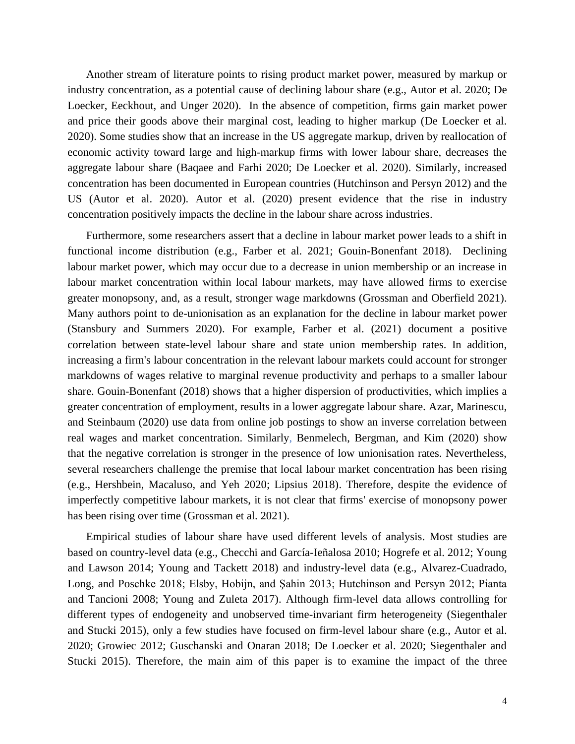Another stream of literature points to rising product market power, measured by markup or industry concentration, as a potential cause of declining labour share (e.g., Autor et al. 2020; De Loecker, Eeckhout, and Unger 2020). In the absence of competition, firms gain market power and price their goods above their marginal cost, leading to higher markup (De Loecker et al. 2020). Some studies show that an increase in the US aggregate markup, driven by reallocation of economic activity toward large and high-markup firms with lower labour share, decreases the aggregate labour share (Baqaee and Farhi 2020; De Loecker et al. 2020). Similarly, increased concentration has been documented in European countries (Hutchinson and Persyn 2012) and the US (Autor et al. 2020). Autor et al. (2020) present evidence that the rise in industry concentration positively impacts the decline in the labour share across industries.

Furthermore, some researchers assert that a decline in labour market power leads to a shift in functional income distribution (e.g., Farber et al. 2021; Gouin-Bonenfant 2018). Declining labour market power, which may occur due to a decrease in union membership or an increase in labour market concentration within local labour markets, may have allowed firms to exercise greater monopsony, and, as a result, stronger wage markdowns (Grossman and Oberfield 2021). Many authors point to de-unionisation as an explanation for the decline in labour market power (Stansbury and Summers 2020). For example, Farber et al. (2021) document a positive correlation between state-level labour share and state union membership rates. In addition, increasing a firm's labour concentration in the relevant labour markets could account for stronger markdowns of wages relative to marginal revenue productivity and perhaps to a smaller labour share. Gouin-Bonenfant (2018) shows that a higher dispersion of productivities, which implies a greater concentration of employment, results in a lower aggregate labour share. Azar, Marinescu, and Steinbaum (2020) use data from online job postings to show an inverse correlation between real wages and market concentration. Similarly, Benmelech, Bergman, and Kim (2020) show that the negative correlation is stronger in the presence of low unionisation rates. Nevertheless, several researchers challenge the premise that local labour market concentration has been rising (e.g., Hershbein, Macaluso, and Yeh 2020; Lipsius 2018). Therefore, despite the evidence of imperfectly competitive labour markets, it is not clear that firms' exercise of monopsony power has been rising over time (Grossman et al. 2021).

Empirical studies of labour share have used different levels of analysis. Most studies are based on country-level data (e.g., Checchi and García-Ieñalosa 2010; Hogrefe et al. 2012; Young and Lawson 2014; Young and Tackett 2018) and industry-level data (e.g., Alvarez-Cuadrado, Long, and Poschke 2018; Elsby, Hobijn, and Şahin 2013; Hutchinson and Persyn 2012; Pianta and Tancioni 2008; Young and Zuleta 2017). Although firm-level data allows controlling for different types of endogeneity and unobserved time-invariant firm heterogeneity (Siegenthaler and Stucki 2015), only a few studies have focused on firm-level labour share (e.g., Autor et al. 2020; Growiec 2012; Guschanski and Onaran 2018; De Loecker et al. 2020; Siegenthaler and Stucki 2015). Therefore, the main aim of this paper is to examine the impact of the three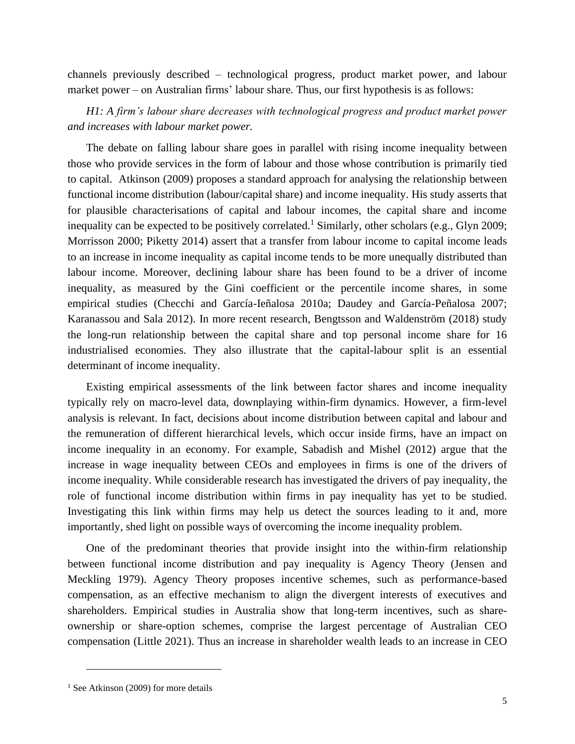channels previously described – technological progress, product market power, and labour market power – on Australian firms' labour share. Thus, our first hypothesis is as follows:

*H1: A firm's labour share decreases with technological progress and product market power and increases with labour market power.*

The debate on falling labour share goes in parallel with rising income inequality between those who provide services in the form of labour and those whose contribution is primarily tied to capital. Atkinson (2009) proposes a standard approach for analysing the relationship between functional income distribution (labour/capital share) and income inequality. His study asserts that for plausible characterisations of capital and labour incomes, the capital share and income inequality can be expected to be positively correlated.<sup>1</sup> Similarly, other scholars (e.g., Glyn 2009; Morrisson 2000; Piketty 2014) assert that a transfer from labour income to capital income leads to an increase in income inequality as capital income tends to be more unequally distributed than labour income. Moreover, declining labour share has been found to be a driver of income inequality, as measured by the Gini coefficient or the percentile income shares, in some empirical studies (Checchi and García-Ieñalosa 2010a; Daudey and García-Peñalosa 2007; Karanassou and Sala 2012). In more recent research, Bengtsson and Waldenström (2018) study the long-run relationship between the capital share and top personal income share for 16 industrialised economies. They also illustrate that the capital-labour split is an essential determinant of income inequality.

Existing empirical assessments of the link between factor shares and income inequality typically rely on macro-level data, downplaying within-firm dynamics. However, a firm-level analysis is relevant. In fact, decisions about income distribution between capital and labour and the remuneration of different hierarchical levels, which occur inside firms, have an impact on income inequality in an economy. For example, Sabadish and Mishel (2012) argue that the increase in wage inequality between CEOs and employees in firms is one of the drivers of income inequality. While considerable research has investigated the drivers of pay inequality, the role of functional income distribution within firms in pay inequality has yet to be studied. Investigating this link within firms may help us detect the sources leading to it and, more importantly, shed light on possible ways of overcoming the income inequality problem.

One of the predominant theories that provide insight into the within-firm relationship between functional income distribution and pay inequality is Agency Theory (Jensen and Meckling 1979). Agency Theory proposes incentive schemes, such as performance-based compensation, as an effective mechanism to align the divergent interests of executives and shareholders. Empirical studies in Australia show that long-term incentives, such as shareownership or share-option schemes, comprise the largest percentage of Australian CEO compensation (Little 2021). Thus an increase in shareholder wealth leads to an increase in CEO

 $1$  See Atkinson (2009) for more details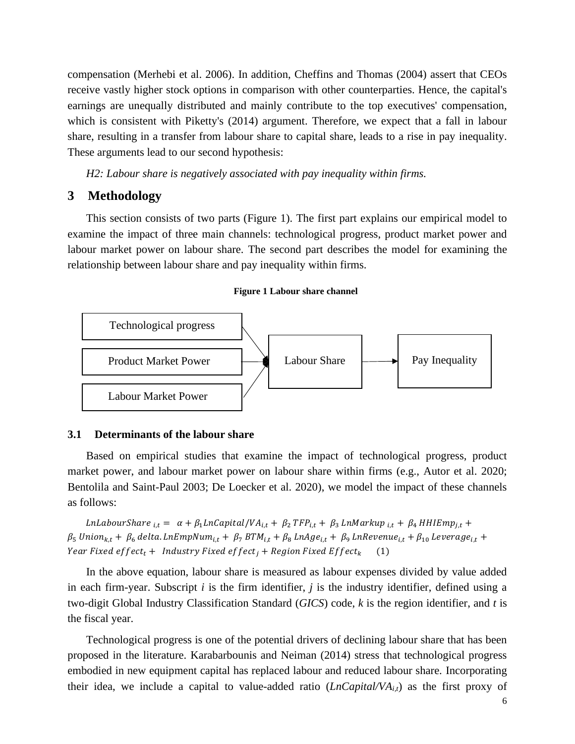compensation (Merhebi et al. 2006). In addition, Cheffins and Thomas (2004) assert that CEOs receive vastly higher stock options in comparison with other counterparties. Hence, the capital's earnings are unequally distributed and mainly contribute to the top executives' compensation, which is consistent with Piketty's (2014) argument. Therefore, we expect that a fall in labour share, resulting in a transfer from labour share to capital share, leads to a rise in pay inequality. These arguments lead to our second hypothesis:

*H2: Labour share is negatively associated with pay inequality within firms.*

## **3 Methodology**

This section consists of two parts (Figure 1). The first part explains our empirical model to examine the impact of three main channels: technological progress, product market power and labour market power on labour share. The second part describes the model for examining the relationship between labour share and pay inequality within firms.

#### **Figure 1 Labour share channel**



#### **3.1 Determinants of the labour share**

Based on empirical studies that examine the impact of technological progress, product market power, and labour market power on labour share within firms (e.g., Autor et al. 2020; Bentolila and Saint-Paul 2003; De Loecker et al. 2020), we model the impact of these channels as follows:

LnLabourShare  $_{i,t} = \alpha + \beta_1 LnCapital/VA_{i,t} + \beta_2 TFP_{i,t} + \beta_3 LnMarkup_{i,t} + \beta_4 HHIEmp_{i,t} +$  $\beta_5$  Union<sub>k,t</sub> +  $\beta_6$  delta. LnEmpNum<sub>i,t</sub> +  $\beta_7$  BTM<sub>i,t</sub> +  $\beta_8$  LnAge<sub>i,t</sub> +  $\beta_9$  LnRevenue<sub>i,t</sub> +  $\beta_{10}$  Leverage<sub>i,t</sub> + Year Fixed effect<sub>t</sub> + Industry Fixed effect<sub>i</sub> + Region Fixed Effect<sub>k</sub> (1)

In the above equation, labour share is measured as labour expenses divided by value added in each firm-year. Subscript *i* is the firm identifier, *j* is the industry identifier, defined using a two-digit Global Industry Classification Standard (*GICS*) code, *k* is the region identifier, and *t* is the fiscal year.

Technological progress is one of the potential drivers of declining labour share that has been proposed in the literature. Karabarbounis and Neiman (2014) stress that technological progress embodied in new equipment capital has replaced labour and reduced labour share. Incorporating their idea, we include a capital to value-added ratio (*LnCapital/VAi,t*) as the first proxy of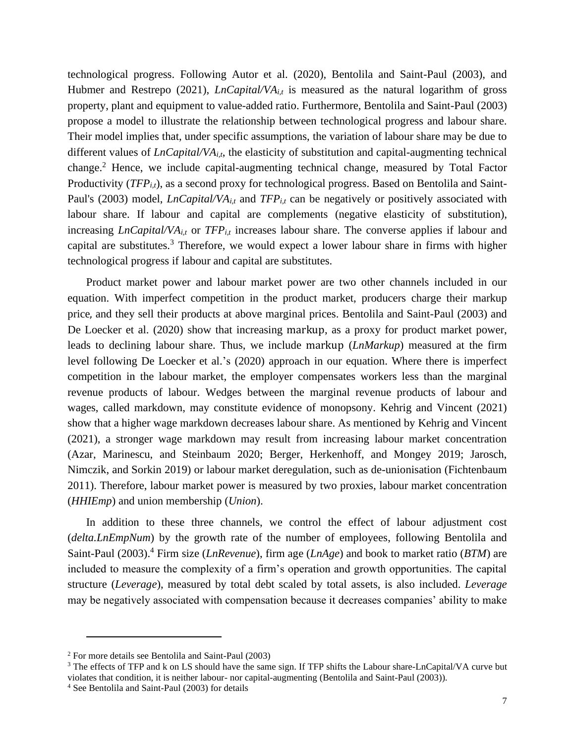technological progress. Following Autor et al. (2020), Bentolila and Saint-Paul (2003), and Hubmer and Restrepo (2021), *LnCapital/VA*<sub>*i,t*</sub> is measured as the natural logarithm of gross property, plant and equipment to value-added ratio. Furthermore, Bentolila and Saint-Paul (2003) propose a model to illustrate the relationship between technological progress and labour share. Their model implies that, under specific assumptions, the variation of labour share may be due to different values of *LnCapital/VAi,t*, the elasticity of substitution and capital-augmenting technical change.<sup>2</sup> Hence, we include capital-augmenting technical change, measured by Total Factor Productivity (*TFP*<sub>*i,t*</sub>), as a second proxy for technological progress. Based on Bentolila and Saint-Paul's (2003) model, *LnCapital/VA*<sub>*i,t*</sub> and *TFP*<sub>*i*,t</sub> can be negatively or positively associated with labour share. If labour and capital are complements (negative elasticity of substitution), increasing *LnCapital/VAi,t* or *TFPi,t* increases labour share. The converse applies if labour and capital are substitutes.<sup>3</sup> Therefore, we would expect a lower labour share in firms with higher technological progress if labour and capital are substitutes.

Product market power and labour market power are two other channels included in our equation. With imperfect competition in the product market, producers charge their markup price, and they sell their products at above marginal prices. Bentolila and Saint-Paul (2003) and De Loecker et al. (2020) show that increasing markup, as a proxy for product market power, leads to declining labour share. Thus, we include markup (*LnMarkup*) measured at the firm level following De Loecker et al.'s (2020) approach in our equation. Where there is imperfect competition in the labour market, the employer compensates workers less than the marginal revenue products of labour. Wedges between the marginal revenue products of labour and wages, called markdown, may constitute evidence of monopsony. Kehrig and Vincent (2021) show that a higher wage markdown decreases labour share. As mentioned by Kehrig and Vincent (2021), a stronger wage markdown may result from increasing labour market concentration (Azar, Marinescu, and Steinbaum 2020; Berger, Herkenhoff, and Mongey 2019; Jarosch, Nimczik, and Sorkin 2019) or labour market deregulation, such as de-unionisation (Fichtenbaum 2011). Therefore, labour market power is measured by two proxies, labour market concentration (*HHIEmp*) and union membership (*Union*).

In addition to these three channels, we control the effect of labour adjustment cost (*delta.LnEmpNum*) by the growth rate of the number of employees, following Bentolila and Saint-Paul (2003). <sup>4</sup> Firm size (*LnRevenue*), firm age (*LnAge*) and book to market ratio (*BTM*) are included to measure the complexity of a firm's operation and growth opportunities. The capital structure (*Leverage*), measured by total debt scaled by total assets, is also included. *Leverage* may be negatively associated with compensation because it decreases companies' ability to make

<sup>2</sup> For more details see Bentolila and Saint-Paul (2003)

<sup>&</sup>lt;sup>3</sup> The effects of TFP and k on LS should have the same sign. If TFP shifts the Labour share-LnCapital/VA curve but violates that condition, it is neither labour- nor capital-augmenting (Bentolila and Saint-Paul (2003)).

<sup>4</sup> See Bentolila and Saint-Paul (2003) for details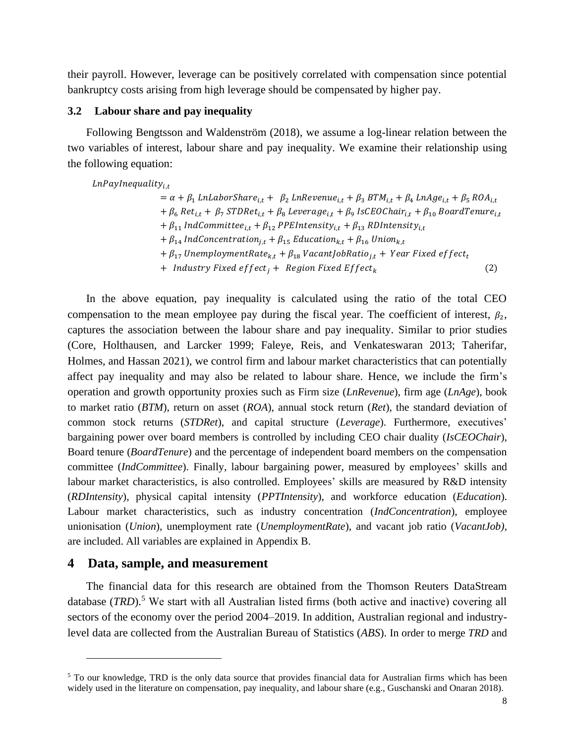their payroll. However, leverage can be positively correlated with compensation since potential bankruptcy costs arising from high leverage should be compensated by higher pay.

#### **3.2 Labour share and pay inequality**

Following Bengtsson and Waldenström (2018), we assume a log-linear relation between the two variables of interest, labour share and pay inequality. We examine their relationship using the following equation:

 $LnPayInequality_{i,t}$ 

 $= \alpha + \beta_1$  LnLaborShare<sub>it</sub> +  $\beta_2$  LnRevenue<sub>it</sub> +  $\beta_3$  BTM<sub>it</sub> +  $\beta_4$  LnAge<sub>it</sub> +  $\beta_5$  ROA<sub>it</sub> +  $\beta_6$  Ret $_{i,t}$  +  $\beta_7$  STDRet $_{i,t}$  +  $\beta_8$  Leverage $_{i,t}$  +  $\beta_9$  IsCEOChai $r_{i,t}$  +  $\beta_{10}$  BoardTenure $_{i,t}$ +  $\beta_{11}$  IndCommittee<sub>i,t</sub> +  $\beta_{12}$  PPEIntensity<sub>i,t</sub> +  $\beta_{13}$  RDIntensity<sub>i,t</sub>  $+ \beta_{14}$  IndConcentration<sub>it</sub> +  $\beta_{15}$  Education<sub>k,t</sub> +  $\beta_{16}$  Union<sub>k,t</sub>  $+ \beta_{17}$  UnemploymentRate<sub>kt</sub> +  $\beta_{18}$  VacantJobRatio<sub>it</sub> + Year Fixed effect<sub>t</sub> + *Industry Fixed effect<sub>i</sub>* + *Region Fixed Effect<sub>k</sub>* (2)

In the above equation, pay inequality is calculated using the ratio of the total CEO compensation to the mean employee pay during the fiscal year. The coefficient of interest,  $\beta_2$ , captures the association between the labour share and pay inequality. Similar to prior studies (Core, Holthausen, and Larcker 1999; Faleye, Reis, and Venkateswaran 2013; Taherifar, Holmes, and Hassan 2021), we control firm and labour market characteristics that can potentially affect pay inequality and may also be related to labour share. Hence, we include the firm's operation and growth opportunity proxies such as Firm size (*LnRevenue*), firm age (*LnAge*), book to market ratio (*BTM*), return on asset (*ROA*), annual stock return (*Ret*), the standard deviation of common stock returns (*STDRet*), and capital structure (*Leverage*). Furthermore, executives' bargaining power over board members is controlled by including CEO chair duality (*IsCEOChair*), Board tenure (*BoardTenure*) and the percentage of independent board members on the compensation committee (*IndCommittee*). Finally, labour bargaining power, measured by employees' skills and labour market characteristics, is also controlled. Employees' skills are measured by R&D intensity (*RDIntensity*), physical capital intensity (*PPTIntensity*), and workforce education (*Education*). Labour market characteristics, such as industry concentration (*IndConcentration*), employee unionisation (*Union*), unemployment rate (*UnemploymentRate*), and vacant job ratio (*VacantJob),*  are included. All variables are explained in Appendix B.

### **4 Data, sample, and measurement**

The financial data for this research are obtained from the Thomson Reuters DataStream database (*TRD*).<sup>5</sup> We start with all Australian listed firms (both active and inactive) covering all sectors of the economy over the period 2004–2019. In addition, Australian regional and industrylevel data are collected from the Australian Bureau of Statistics (*ABS*). In order to merge *TRD* and

<sup>&</sup>lt;sup>5</sup> To our knowledge, TRD is the only data source that provides financial data for Australian firms which has been widely used in the literature on compensation, pay inequality, and labour share (e.g., Guschanski and Onaran 2018).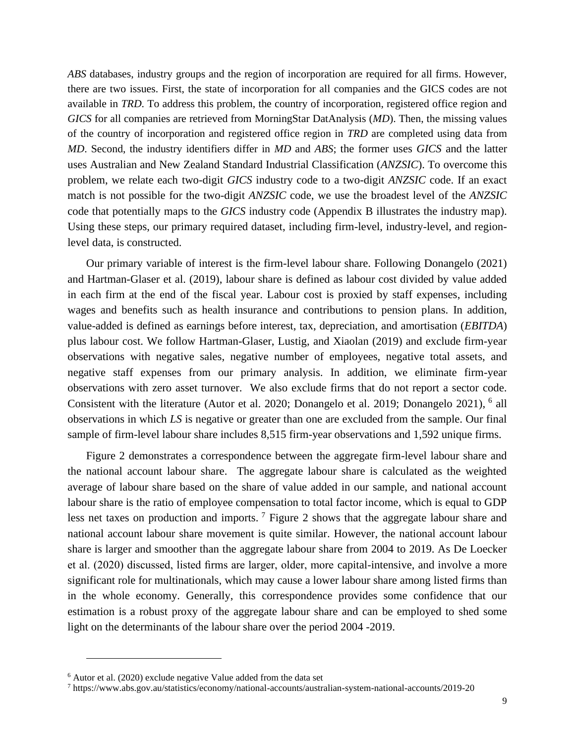*ABS* databases, industry groups and the region of incorporation are required for all firms. However, there are two issues. First, the state of incorporation for all companies and the GICS codes are not available in *TRD*. To address this problem, the country of incorporation, registered office region and *GICS* for all companies are retrieved from MorningStar DatAnalysis (*MD*). Then, the missing values of the country of incorporation and registered office region in *TRD* are completed using data from *MD*. Second, the industry identifiers differ in *MD* and *ABS*; the former uses *GICS* and the latter uses Australian and New Zealand Standard Industrial Classification (*ANZSIC*). To overcome this problem, we relate each two-digit *GICS* industry code to a two-digit *ANZSIC* code. If an exact match is not possible for the two-digit *ANZSIC* code, we use the broadest level of the *ANZSIC* code that potentially maps to the *GICS* industry code (Appendix B illustrates the industry map). Using these steps, our primary required dataset, including firm-level, industry-level, and regionlevel data, is constructed.

Our primary variable of interest is the firm-level labour share. Following Donangelo (2021) and Hartman-Glaser et al. (2019), labour share is defined as labour cost divided by value added in each firm at the end of the fiscal year. Labour cost is proxied by staff expenses, including wages and benefits such as health insurance and contributions to pension plans. In addition, value-added is defined as earnings before interest, tax, depreciation, and amortisation (*EBITDA*) plus labour cost. We follow Hartman-Glaser, Lustig, and Xiaolan (2019) and exclude firm-year observations with negative sales, negative number of employees, negative total assets, and negative staff expenses from our primary analysis. In addition, we eliminate firm-year observations with zero asset turnover. We also exclude firms that do not report a sector code. Consistent with the literature (Autor et al. 2020; Donangelo et al. 2019; Donangelo 2021), <sup>6</sup> all observations in which *LS* is negative or greater than one are excluded from the sample. Our final sample of firm-level labour share includes 8,515 firm-year observations and 1,592 unique firms.

Figure 2 demonstrates a correspondence between the aggregate firm-level labour share and the national account labour share. The aggregate labour share is calculated as the weighted average of labour share based on the share of value added in our sample, and national account labour share is the ratio of employee compensation to total factor income, which is equal to GDP less net taxes on production and imports. <sup>7</sup> Figure 2 shows that the aggregate labour share and national account labour share movement is quite similar. However, the national account labour share is larger and smoother than the aggregate labour share from 2004 to 2019. As De Loecker et al. (2020) discussed, listed firms are larger, older, more capital-intensive, and involve a more significant role for multinationals, which may cause a lower labour share among listed firms than in the whole economy. Generally, this correspondence provides some confidence that our estimation is a robust proxy of the aggregate labour share and can be employed to shed some light on the determinants of the labour share over the period 2004 -2019.

<sup>6</sup> Autor et al. (2020) exclude negative Value added from the data set

<sup>7</sup> https://www.abs.gov.au/statistics/economy/national-accounts/australian-system-national-accounts/2019-20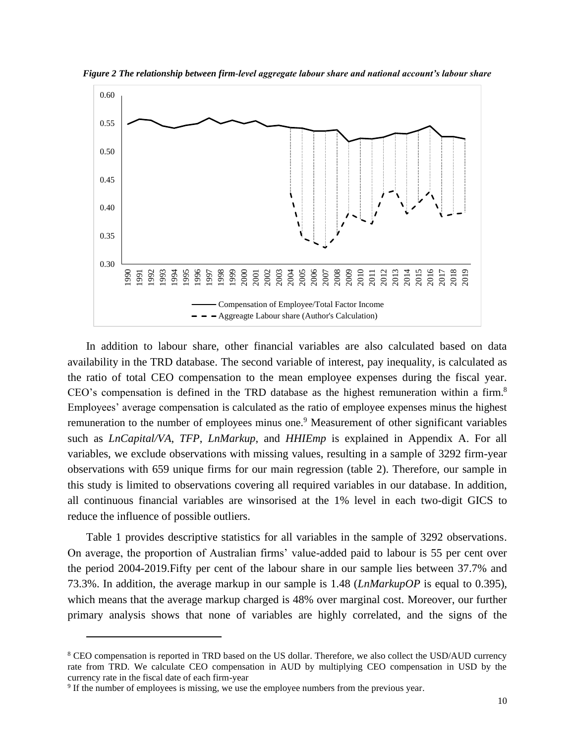

*Figure 2 The relationship between firm-level aggregate labour share and national account's labour share*

In addition to labour share, other financial variables are also calculated based on data availability in the TRD database. The second variable of interest, pay inequality, is calculated as the ratio of total CEO compensation to the mean employee expenses during the fiscal year. CEO's compensation is defined in the TRD database as the highest remuneration within a firm.<sup>8</sup> Employees' average compensation is calculated as the ratio of employee expenses minus the highest remuneration to the number of employees minus one.<sup>9</sup> Measurement of other significant variables such as *LnCapital/VA*, *TFP*, *LnMarkup*, and *HHIEmp* is explained in Appendix A. For all variables, we exclude observations with missing values, resulting in a sample of 3292 firm-year observations with 659 unique firms for our main regression (table 2). Therefore, our sample in this study is limited to observations covering all required variables in our database. In addition, all continuous financial variables are winsorised at the 1% level in each two-digit GICS to reduce the influence of possible outliers.

Table 1 provides descriptive statistics for all variables in the sample of 3292 observations. On average, the proportion of Australian firms' value-added paid to labour is 55 per cent over the period 2004-2019.Fifty per cent of the labour share in our sample lies between 37.7% and 73.3%. In addition, the average markup in our sample is 1.48 (*LnMarkupOP* is equal to 0.395), which means that the average markup charged is 48% over marginal cost. Moreover, our further primary analysis shows that none of variables are highly correlated, and the signs of the

<sup>8</sup> CEO compensation is reported in TRD based on the US dollar. Therefore, we also collect the USD/AUD currency rate from TRD. We calculate CEO compensation in AUD by multiplying CEO compensation in USD by the currency rate in the fiscal date of each firm-year

<sup>9</sup> If the number of employees is missing, we use the employee numbers from the previous year.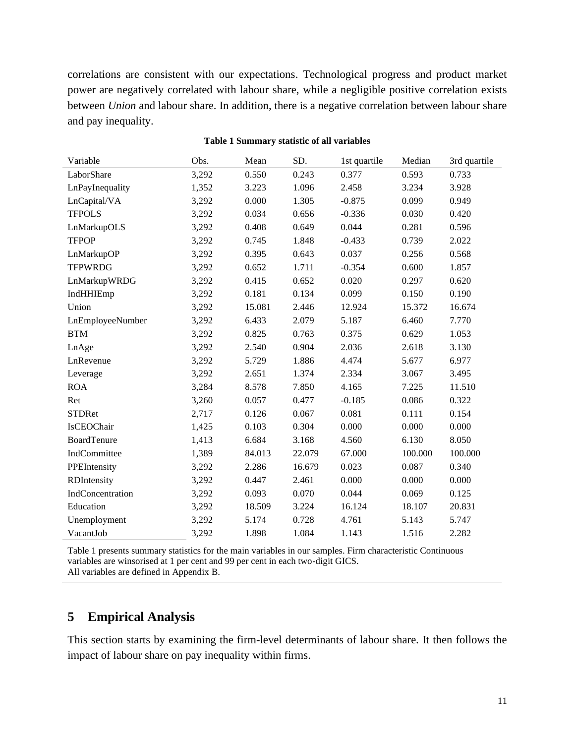correlations are consistent with our expectations. Technological progress and product market power are negatively correlated with labour share, while a negligible positive correlation exists between *Union* and labour share. In addition, there is a negative correlation between labour share and pay inequality.

| Variable           | Obs.  | Mean   | SD.    | 1st quartile | Median  | 3rd quartile |
|--------------------|-------|--------|--------|--------------|---------|--------------|
| LaborShare         | 3,292 | 0.550  | 0.243  | 0.377        | 0.593   | 0.733        |
| LnPayInequality    | 1,352 | 3.223  | 1.096  | 2.458        | 3.234   | 3.928        |
| LnCapital/VA       | 3,292 | 0.000  | 1.305  | $-0.875$     | 0.099   | 0.949        |
| <b>TFPOLS</b>      | 3,292 | 0.034  | 0.656  | $-0.336$     | 0.030   | 0.420        |
| LnMarkupOLS        | 3,292 | 0.408  | 0.649  | 0.044        | 0.281   | 0.596        |
| <b>TFPOP</b>       | 3,292 | 0.745  | 1.848  | $-0.433$     | 0.739   | 2.022        |
| LnMarkupOP         | 3,292 | 0.395  | 0.643  | 0.037        | 0.256   | 0.568        |
| <b>TFPWRDG</b>     | 3,292 | 0.652  | 1.711  | $-0.354$     | 0.600   | 1.857        |
| LnMarkupWRDG       | 3,292 | 0.415  | 0.652  | 0.020        | 0.297   | 0.620        |
| IndHHIEmp          | 3,292 | 0.181  | 0.134  | 0.099        | 0.150   | 0.190        |
| Union              | 3,292 | 15.081 | 2.446  | 12.924       | 15.372  | 16.674       |
| LnEmployeeNumber   | 3,292 | 6.433  | 2.079  | 5.187        | 6.460   | 7.770        |
| <b>BTM</b>         | 3,292 | 0.825  | 0.763  | 0.375        | 0.629   | 1.053        |
| LnAge              | 3,292 | 2.540  | 0.904  | 2.036        | 2.618   | 3.130        |
| LnRevenue          | 3,292 | 5.729  | 1.886  | 4.474        | 5.677   | 6.977        |
| Leverage           | 3,292 | 2.651  | 1.374  | 2.334        | 3.067   | 3.495        |
| <b>ROA</b>         | 3,284 | 8.578  | 7.850  | 4.165        | 7.225   | 11.510       |
| Ret                | 3,260 | 0.057  | 0.477  | $-0.185$     | 0.086   | 0.322        |
| <b>STDRet</b>      | 2,717 | 0.126  | 0.067  | 0.081        | 0.111   | 0.154        |
| IsCEOChair         | 1,425 | 0.103  | 0.304  | 0.000        | 0.000   | 0.000        |
| <b>BoardTenure</b> | 1,413 | 6.684  | 3.168  | 4.560        | 6.130   | 8.050        |
| IndCommittee       | 1,389 | 84.013 | 22.079 | 67.000       | 100.000 | 100.000      |
| PPEIntensity       | 3,292 | 2.286  | 16.679 | 0.023        | 0.087   | 0.340        |
| RDIntensity        | 3,292 | 0.447  | 2.461  | 0.000        | 0.000   | 0.000        |
| IndConcentration   | 3,292 | 0.093  | 0.070  | 0.044        | 0.069   | 0.125        |
| Education          | 3,292 | 18.509 | 3.224  | 16.124       | 18.107  | 20.831       |
| Unemployment       | 3,292 | 5.174  | 0.728  | 4.761        | 5.143   | 5.747        |
| VacantJob          | 3,292 | 1.898  | 1.084  | 1.143        | 1.516   | 2.282        |

#### **Table 1 Summary statistic of all variables**

Table 1 presents summary statistics for the main variables in our samples. Firm characteristic Continuous variables are winsorised at 1 per cent and 99 per cent in each two-digit GICS. All variables are defined in Appendix B.

## **5 Empirical Analysis**

This section starts by examining the firm-level determinants of labour share. It then follows the impact of labour share on pay inequality within firms.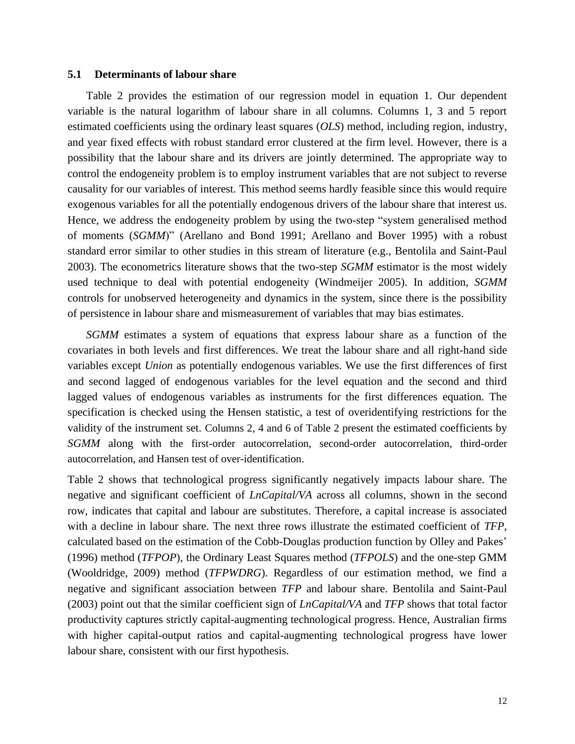#### **5.1 Determinants of labour share**

Table 2 provides the estimation of our regression model in equation 1. Our dependent variable is the natural logarithm of labour share in all columns. Columns 1, 3 and 5 report estimated coefficients using the ordinary least squares (*OLS*) method, including region, industry, and year fixed effects with robust standard error clustered at the firm level. However, there is a possibility that the labour share and its drivers are jointly determined. The appropriate way to control the endogeneity problem is to employ instrument variables that are not subject to reverse causality for our variables of interest. This method seems hardly feasible since this would require exogenous variables for all the potentially endogenous drivers of the labour share that interest us. Hence, we address the endogeneity problem by using the two-step "system generalised method of moments (*SGMM*)" (Arellano and Bond 1991; Arellano and Bover 1995) with a robust standard error similar to other studies in this stream of literature (e.g., Bentolila and Saint-Paul 2003). The econometrics literature shows that the two-step *SGMM* estimator is the most widely used technique to deal with potential endogeneity (Windmeijer 2005). In addition, *SGMM* controls for unobserved heterogeneity and dynamics in the system, since there is the possibility of persistence in labour share and mismeasurement of variables that may bias estimates.

*SGMM* estimates a system of equations that express labour share as a function of the covariates in both levels and first differences. We treat the labour share and all right-hand side variables except *Union* as potentially endogenous variables. We use the first differences of first and second lagged of endogenous variables for the level equation and the second and third lagged values of endogenous variables as instruments for the first differences equation. The specification is checked using the Hensen statistic, a test of overidentifying restrictions for the validity of the instrument set. Columns 2, 4 and 6 of Table 2 present the estimated coefficients by *SGMM* along with the first-order autocorrelation, second-order autocorrelation, third-order autocorrelation, and Hansen test of over-identification.

Table 2 shows that technological progress significantly negatively impacts labour share. The negative and significant coefficient of *LnCapital/VA* across all columns, shown in the second row, indicates that capital and labour are substitutes. Therefore, a capital increase is associated with a decline in labour share. The next three rows illustrate the estimated coefficient of *TFP*, calculated based on the estimation of the Cobb-Douglas production function by Olley and Pakes' (1996) method (*TFPOP*), the Ordinary Least Squares method (*TFPOLS*) and the one-step GMM (Wooldridge, 2009) method (*TFPWDRG*). Regardless of our estimation method, we find a negative and significant association between *TFP* and labour share. Bentolila and Saint-Paul (2003) point out that the similar coefficient sign of *LnCapital/VA* and *TFP* shows that total factor productivity captures strictly capital-augmenting technological progress. Hence, Australian firms with higher capital-output ratios and capital-augmenting technological progress have lower labour share, consistent with our first hypothesis.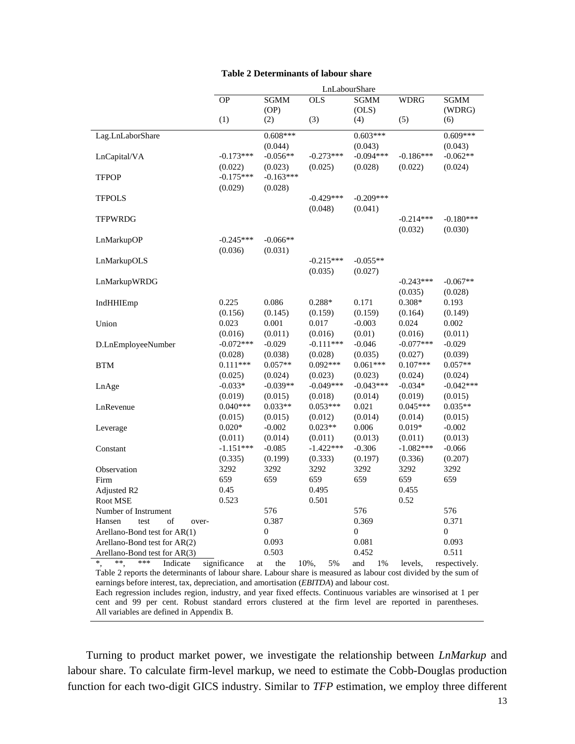| <b>Table 2 Determinants of labour share</b> |  |  |
|---------------------------------------------|--|--|
|---------------------------------------------|--|--|

|                                 |              |                  |             | LnLabourShare    |             |                  |
|---------------------------------|--------------|------------------|-------------|------------------|-------------|------------------|
|                                 | <b>OP</b>    | <b>SGMM</b>      | <b>OLS</b>  | <b>SGMM</b>      | <b>WDRG</b> | <b>SGMM</b>      |
|                                 |              | (OP)             |             | (OLS)            |             | (WDRG)           |
|                                 | (1)          | (2)              | (3)         | (4)              | (5)         | (6)              |
| Lag.LnLaborShare                |              | $0.608***$       |             | $0.603***$       |             | $0.609***$       |
|                                 |              | (0.044)          |             | (0.043)          |             | (0.043)          |
|                                 | $-0.173***$  | $-0.056**$       | $-0.273***$ | $-0.094***$      | $-0.186***$ | $-0.062**$       |
| LnCapital/VA                    |              |                  |             |                  |             |                  |
|                                 | (0.022)      | (0.023)          | (0.025)     | (0.028)          | (0.022)     | (0.024)          |
| <b>TFPOP</b>                    | $-0.175***$  | $-0.163***$      |             |                  |             |                  |
|                                 | (0.029)      | (0.028)          |             |                  |             |                  |
| <b>TFPOLS</b>                   |              |                  | $-0.429***$ | $-0.209***$      |             |                  |
|                                 |              |                  | (0.048)     | (0.041)          |             |                  |
| <b>TFPWRDG</b>                  |              |                  |             |                  | $-0.214***$ | $-0.180***$      |
|                                 |              |                  |             |                  | (0.032)     | (0.030)          |
| LnMarkupOP                      | $-0.245***$  | $-0.066**$       |             |                  |             |                  |
|                                 | (0.036)      | (0.031)          |             |                  |             |                  |
| LnMarkupOLS                     |              |                  | $-0.215***$ | $-0.055**$       |             |                  |
|                                 |              |                  | (0.035)     | (0.027)          |             |                  |
| LnMarkupWRDG                    |              |                  |             |                  | $-0.243***$ | $-0.067**$       |
|                                 |              |                  |             |                  | (0.035)     | (0.028)          |
| IndHHIEmp                       | 0.225        | 0.086            | $0.288*$    | 0.171            | $0.308*$    | 0.193            |
|                                 | (0.156)      | (0.145)          | (0.159)     | (0.159)          | (0.164)     | (0.149)          |
| Union                           | 0.023        | 0.001            | 0.017       | $-0.003$         | 0.024       | 0.002            |
|                                 | (0.016)      | (0.011)          | (0.016)     | (0.01)           | (0.016)     | (0.011)          |
| D.LnEmployeeNumber              | $-0.072***$  | $-0.029$         | $-0.111***$ | $-0.046$         | $-0.077***$ | $-0.029$         |
|                                 | (0.028)      | (0.038)          | (0.028)     | (0.035)          | (0.027)     | (0.039)          |
| <b>BTM</b>                      | $0.111***$   | $0.057**$        | $0.092***$  | $0.061***$       | $0.107***$  | $0.057**$        |
|                                 | (0.025)      | (0.024)          | (0.023)     | (0.023)          | (0.024)     | (0.024)          |
| LnAge                           | $-0.033*$    | $-0.039**$       | $-0.049***$ | $-0.043***$      | $-0.034*$   | $-0.042***$      |
|                                 | (0.019)      | (0.015)          | (0.018)     | (0.014)          | (0.019)     | (0.015)          |
| LnRevenue                       | $0.040***$   | $0.033**$        | $0.053***$  | 0.021            | $0.045***$  | $0.035**$        |
|                                 | (0.015)      | (0.015)          | (0.012)     | (0.014)          | (0.014)     | (0.015)          |
| Leverage                        | $0.020*$     | $-0.002$         | $0.023**$   | 0.006            | $0.019*$    | $-0.002$         |
|                                 | (0.011)      | (0.014)          | (0.011)     | (0.013)          | (0.011)     | (0.013)          |
| Constant                        | $-1.151***$  | $-0.085$         | $-1.422***$ | $-0.306$         | $-1.082***$ | $-0.066$         |
|                                 | (0.335)      | (0.199)          | (0.333)     | (0.197)          | (0.336)     | (0.207)          |
| Observation                     | 3292         | 3292             | 3292        | 3292             | 3292        | 3292             |
| Firm                            | 659          | 659              | 659         | 659              | 659         | 659              |
| Adjusted R <sub>2</sub>         | 0.45         |                  | 0.495       |                  | 0.455       |                  |
| Root MSE                        | 0.523        |                  | 0.501       |                  | 0.52        |                  |
| Number of Instrument            |              | 576              |             | 576              |             | 576              |
| Hansen<br>test<br>of<br>over-   |              | 0.387            |             | 0.369            |             | 0.371            |
| Arellano-Bond test for AR(1)    |              | $\boldsymbol{0}$ |             | $\boldsymbol{0}$ |             | $\boldsymbol{0}$ |
| Arellano-Bond test for $AR(2)$  |              | 0.093            |             | 0.081            |             | 0.093            |
| Arellano-Bond test for AR(3)    |              | 0.503            |             | 0.452            |             | 0.511            |
| $^*$ ,<br>**<br>***<br>Indicate | significance | the<br>at        | 10%,<br>5%  | and<br>1%        | levels,     | respectively.    |
|                                 |              |                  |             |                  |             |                  |

Table 2 reports the determinants of labour share. Labour share is measured as labour cost divided by the sum of earnings before interest, tax, depreciation, and amortisation (*EBITDA*) and labour cost.

Each regression includes region, industry, and year fixed effects. Continuous variables are winsorised at 1 per cent and 99 per cent. Robust standard errors clustered at the firm level are reported in parentheses. All variables are defined in Appendix B.

Turning to product market power, we investigate the relationship between *LnMarkup* and labour share. To calculate firm-level markup, we need to estimate the Cobb-Douglas production function for each two-digit GICS industry. Similar to *TFP* estimation, we employ three different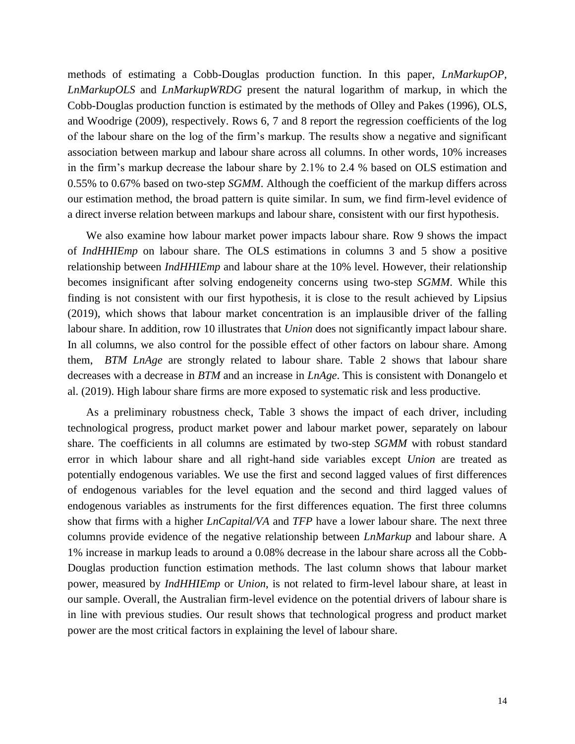methods of estimating a Cobb-Douglas production function. In this paper, *LnMarkupOP, LnMarkupOLS* and *LnMarkupWRDG* present the natural logarithm of markup, in which the Cobb-Douglas production function is estimated by the methods of Olley and Pakes (1996), OLS, and Woodrige (2009), respectively. Rows 6, 7 and 8 report the regression coefficients of the log of the labour share on the log of the firm's markup. The results show a negative and significant association between markup and labour share across all columns. In other words, 10% increases in the firm's markup decrease the labour share by 2.1% to 2.4 % based on OLS estimation and 0.55% to 0.67% based on two-step *SGMM*. Although the coefficient of the markup differs across our estimation method, the broad pattern is quite similar. In sum, we find firm-level evidence of a direct inverse relation between markups and labour share, consistent with our first hypothesis.

We also examine how labour market power impacts labour share. Row 9 shows the impact of *IndHHIEmp* on labour share. The OLS estimations in columns 3 and 5 show a positive relationship between *IndHHIEmp* and labour share at the 10% level. However, their relationship becomes insignificant after solving endogeneity concerns using two-step *SGMM*. While this finding is not consistent with our first hypothesis, it is close to the result achieved by Lipsius (2019), which shows that labour market concentration is an implausible driver of the falling labour share. In addition, row 10 illustrates that *Union* does not significantly impact labour share. In all columns, we also control for the possible effect of other factors on labour share. Among them, *BTM LnAge* are strongly related to labour share. Table 2 shows that labour share decreases with a decrease in *BTM* and an increase in *LnAge*. This is consistent with Donangelo et al. (2019). High labour share firms are more exposed to systematic risk and less productive.

As a preliminary robustness check, Table 3 shows the impact of each driver, including technological progress, product market power and labour market power, separately on labour share. The coefficients in all columns are estimated by two-step *SGMM* with robust standard error in which labour share and all right-hand side variables except *Union* are treated as potentially endogenous variables. We use the first and second lagged values of first differences of endogenous variables for the level equation and the second and third lagged values of endogenous variables as instruments for the first differences equation. The first three columns show that firms with a higher *LnCapital/VA* and *TFP* have a lower labour share. The next three columns provide evidence of the negative relationship between *LnMarkup* and labour share. A 1% increase in markup leads to around a 0.08% decrease in the labour share across all the Cobb-Douglas production function estimation methods. The last column shows that labour market power, measured by *IndHHIEmp* or *Union*, is not related to firm-level labour share, at least in our sample. Overall, the Australian firm-level evidence on the potential drivers of labour share is in line with previous studies. Our result shows that technological progress and product market power are the most critical factors in explaining the level of labour share.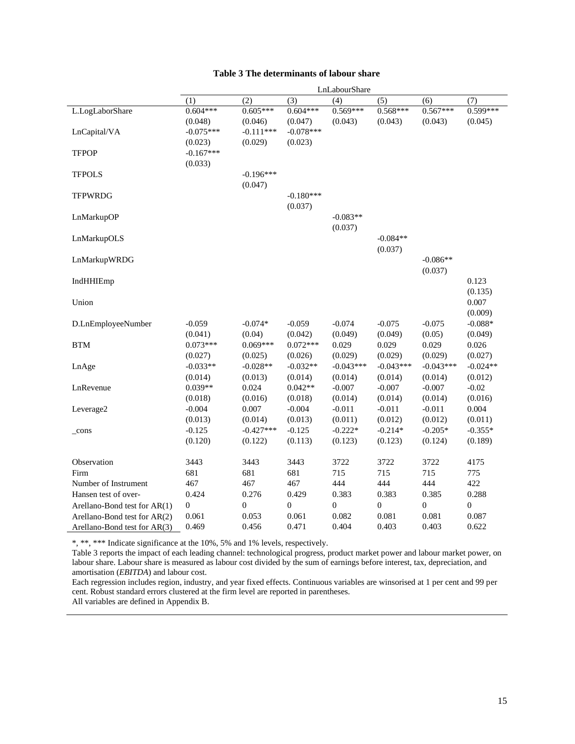|                                              |                  |                  |                  | LnLabourShare |                  |                  |                  |
|----------------------------------------------|------------------|------------------|------------------|---------------|------------------|------------------|------------------|
|                                              | (1)              | (2)              | (3)              | (4)           | (5)              | (6)              | (7)              |
| L.LogLaborShare                              | $0.604***$       | $0.605***$       | $0.604***$       | $0.569***$    | $0.568***$       | $0.567***$       | 0.599***         |
|                                              | (0.048)          | (0.046)          | (0.047)          | (0.043)       | (0.043)          | (0.043)          | (0.045)          |
| LnCapital/VA                                 | $-0.075***$      | $-0.111***$      | $-0.078***$      |               |                  |                  |                  |
|                                              | (0.023)          | (0.029)          | (0.023)          |               |                  |                  |                  |
| <b>TFPOP</b>                                 | $-0.167***$      |                  |                  |               |                  |                  |                  |
|                                              | (0.033)          |                  |                  |               |                  |                  |                  |
| <b>TFPOLS</b>                                |                  | $-0.196***$      |                  |               |                  |                  |                  |
|                                              |                  | (0.047)          |                  |               |                  |                  |                  |
| <b>TFPWRDG</b>                               |                  |                  | $-0.180***$      |               |                  |                  |                  |
|                                              |                  |                  | (0.037)          |               |                  |                  |                  |
| LnMarkupOP                                   |                  |                  |                  | $-0.083**$    |                  |                  |                  |
|                                              |                  |                  |                  | (0.037)       |                  |                  |                  |
| LnMarkupOLS                                  |                  |                  |                  |               | $-0.084**$       |                  |                  |
|                                              |                  |                  |                  |               | (0.037)          |                  |                  |
| LnMarkupWRDG                                 |                  |                  |                  |               |                  | $-0.086**$       |                  |
|                                              |                  |                  |                  |               |                  | (0.037)          |                  |
| IndHHIEmp                                    |                  |                  |                  |               |                  |                  | 0.123            |
|                                              |                  |                  |                  |               |                  |                  | (0.135)          |
| Union                                        |                  |                  |                  |               |                  |                  | 0.007            |
|                                              |                  |                  |                  |               |                  |                  | (0.009)          |
| D.LnEmployeeNumber                           | $-0.059$         | $-0.074*$        | $-0.059$         | $-0.074$      | $-0.075$         | $-0.075$         | $-0.088*$        |
|                                              | (0.041)          | (0.04)           | (0.042)          | (0.049)       | (0.049)          | (0.05)           | (0.049)          |
| <b>BTM</b>                                   | $0.073***$       | $0.069***$       | $0.072***$       | 0.029         | 0.029            | 0.029            | 0.026            |
|                                              | (0.027)          | (0.025)          | (0.026)          | (0.029)       | (0.029)          | (0.029)          | (0.027)          |
| LnAge                                        | $-0.033**$       | $-0.028**$       | $-0.032**$       | $-0.043***$   | $-0.043***$      | $-0.043***$      | $-0.024**$       |
|                                              | (0.014)          | (0.013)          | (0.014)          | (0.014)       | (0.014)          | (0.014)          | (0.012)          |
| LnRevenue                                    | $0.039**$        | 0.024            | $0.042**$        | $-0.007$      | $-0.007$         | $-0.007$         | $-0.02$          |
|                                              | (0.018)          | (0.016)          | (0.018)          | (0.014)       | (0.014)          | (0.014)          | (0.016)          |
| Leverage2                                    | $-0.004$         | 0.007            | $-0.004$         | $-0.011$      | $-0.011$         | $-0.011$         | 0.004            |
|                                              | (0.013)          | (0.014)          | (0.013)          | (0.011)       | (0.012)          | (0.012)          | (0.011)          |
| $_{cons}$                                    | $-0.125$         | $-0.427***$      | $-0.125$         | $-0.222*$     | $-0.214*$        | $-0.205*$        | $-0.355*$        |
|                                              | (0.120)          | (0.122)          | (0.113)          | (0.123)       | (0.123)          | (0.124)          | (0.189)          |
|                                              |                  |                  |                  |               |                  |                  |                  |
| Observation<br>Firm                          | 3443<br>681      | 3443<br>681      | 3443<br>681      | 3722<br>715   | 3722<br>715      | 3722             | 4175             |
|                                              | 467              |                  |                  | 444           | 444              | 715<br>444       | 775<br>422       |
| Number of Instrument<br>Hansen test of over- | 0.424            | 467<br>0.276     | 467<br>0.429     | 0.383         | 0.383            | 0.385            | 0.288            |
|                                              |                  |                  | $\boldsymbol{0}$ |               | $\boldsymbol{0}$ |                  | $\boldsymbol{0}$ |
| Arellano-Bond test for AR(1)                 | $\boldsymbol{0}$ | $\boldsymbol{0}$ |                  | $\mathbf{0}$  |                  | $\boldsymbol{0}$ |                  |
| Arellano-Bond test for AR(2)                 | 0.061            | 0.053            | 0.061            | 0.082         | 0.081            | 0.081            | 0.087            |
| Arellano-Bond test for AR(3)                 | 0.469            | 0.456            | 0.471            | 0.404         | 0.403            | 0.403            | 0.622            |

\*, \*\*, \*\*\* Indicate significance at the 10%, 5% and 1% levels, respectively.

Table 3 reports the impact of each leading channel: technological progress, product market power and labour market power, on labour share. Labour share is measured as labour cost divided by the sum of earnings before interest, tax, depreciation, and amortisation (*EBITDA*) and labour cost.

Each regression includes region, industry, and year fixed effects. Continuous variables are winsorised at 1 per cent and 99 per cent. Robust standard errors clustered at the firm level are reported in parentheses.

All variables are defined in Appendix B.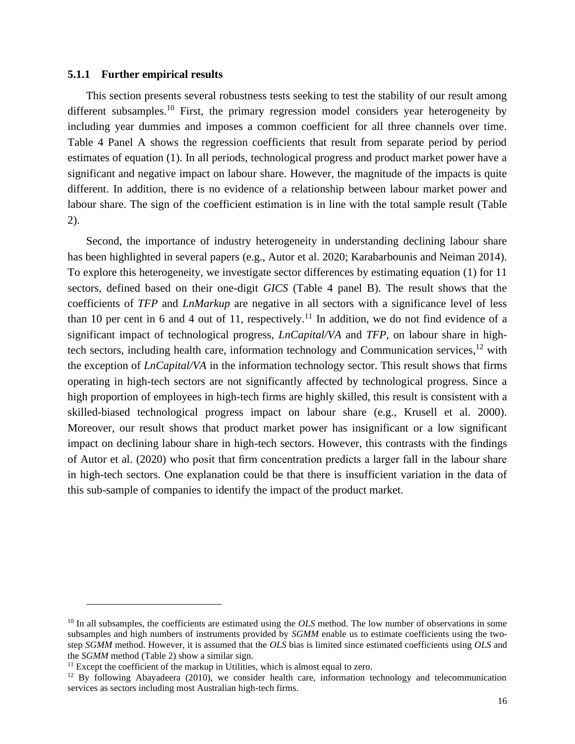#### **5.1.1 Further empirical results**

This section presents several robustness tests seeking to test the stability of our result among different subsamples.<sup>10</sup> First, the primary regression model considers year heterogeneity by including year dummies and imposes a common coefficient for all three channels over time. Table 4 Panel A shows the regression coefficients that result from separate period by period estimates of equation (1). In all periods, technological progress and product market power have a significant and negative impact on labour share. However, the magnitude of the impacts is quite different. In addition, there is no evidence of a relationship between labour market power and labour share. The sign of the coefficient estimation is in line with the total sample result (Table 2).

Second, the importance of industry heterogeneity in understanding declining labour share has been highlighted in several papers (e.g., Autor et al. 2020; Karabarbounis and Neiman 2014). To explore this heterogeneity, we investigate sector differences by estimating equation (1) for 11 sectors, defined based on their one-digit *GICS* (Table 4 panel B). The result shows that the coefficients of *TFP* and *LnMarkup* are negative in all sectors with a significance level of less than 10 per cent in 6 and 4 out of 11, respectively.<sup>11</sup> In addition, we do not find evidence of a significant impact of technological progress, *LnCapital/VA* and *TFP,* on labour share in hightech sectors, including health care, information technology and Communication services,  $12$  with the exception of *LnCapital/VA* in the information technology sector. This result shows that firms operating in high-tech sectors are not significantly affected by technological progress. Since a high proportion of employees in high-tech firms are highly skilled, this result is consistent with a skilled-biased technological progress impact on labour share (e.g., Krusell et al. 2000). Moreover, our result shows that product market power has insignificant or a low significant impact on declining labour share in high-tech sectors. However, this contrasts with the findings of Autor et al. (2020) who posit that firm concentration predicts a larger fall in the labour share in high-tech sectors. One explanation could be that there is insufficient variation in the data of this sub-sample of companies to identify the impact of the product market.

<sup>&</sup>lt;sup>10</sup> In all subsamples, the coefficients are estimated using the *OLS* method. The low number of observations in some subsamples and high numbers of instruments provided by *SGMM* enable us to estimate coefficients using the twostep *SGMM* method. However, it is assumed that the *OLS* bias is limited since estimated coefficients using *OLS* and the *SGMM* method (Table 2) show a similar sign.

<sup>&</sup>lt;sup>11</sup> Except the coefficient of the markup in Utilities, which is almost equal to zero.

<sup>&</sup>lt;sup>12</sup> By following Abayadeera (2010), we consider health care, information technology and telecommunication services as sectors including most Australian high-tech firms.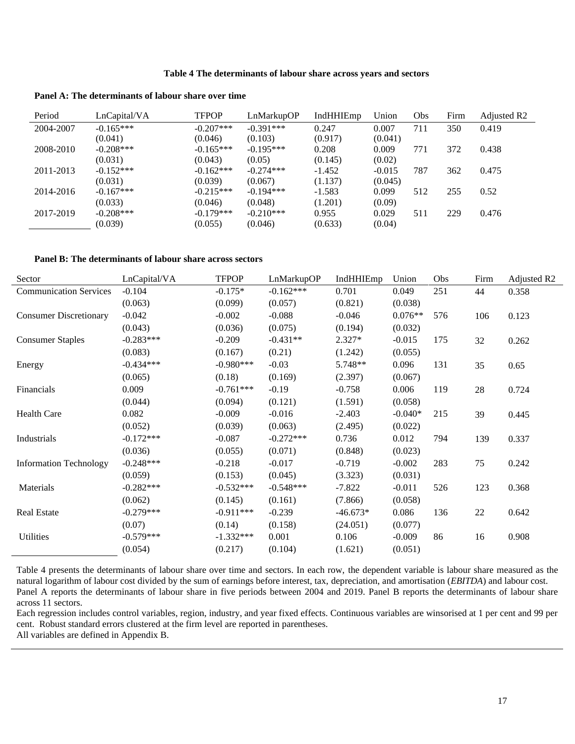#### **Table 4 The determinants of labour share across years and sectors**

**Panel A: The determinants of labour share over time**

| Period    | LnCapital/VA | <b>TFPOP</b> | LnMarkupOP  | IndHHIEmp | Union    | Obs | Firm | Adjusted R <sub>2</sub> |
|-----------|--------------|--------------|-------------|-----------|----------|-----|------|-------------------------|
| 2004-2007 | $-0.165***$  | $-0.207***$  | $-0.391***$ | 0.247     | 0.007    | 711 | 350  | 0.419                   |
|           | (0.041)      | (0.046)      | (0.103)     | (0.917)   | (0.041)  |     |      |                         |
| 2008-2010 | $-0.208***$  | $-0.165***$  | $-0.195***$ | 0.208     | 0.009    | 771 | 372  | 0.438                   |
|           | (0.031)      | (0.043)      | (0.05)      | (0.145)   | (0.02)   |     |      |                         |
| 2011-2013 | $-0.152***$  | $-0.162***$  | $-0.274***$ | $-1.452$  | $-0.015$ | 787 | 362  | 0.475                   |
|           | (0.031)      | (0.039)      | (0.067)     | (1.137)   | (0.045)  |     |      |                         |
| 2014-2016 | $-0.167***$  | $-0.215***$  | $-0.194***$ | $-1.583$  | 0.099    | 512 | 255  | 0.52                    |
|           | (0.033)      | (0.046)      | (0.048)     | (1.201)   | (0.09)   |     |      |                         |
| 2017-2019 | $-0.208***$  | $-0.179***$  | $-0.210***$ | 0.955     | 0.029    | 511 | 229  | 0.476                   |
|           | (0.039)      | (0.055)      | (0.046)     | (0.633)   | (0.04)   |     |      |                         |

#### **Panel B: The determinants of labour share across sectors**

| Sector                        | LnCapital/VA | <b>TFPOP</b> | LnMarkupOP  | IndHHIEmp  | Union     | Obs | Firm   | Adjusted R2 |
|-------------------------------|--------------|--------------|-------------|------------|-----------|-----|--------|-------------|
| <b>Communication Services</b> | $-0.104$     | $-0.175*$    | $-0.162***$ | 0.701      | 0.049     | 251 | 44     | 0.358       |
|                               | (0.063)      | (0.099)      | (0.057)     | (0.821)    | (0.038)   |     |        |             |
| <b>Consumer Discretionary</b> | $-0.042$     | $-0.002$     | $-0.088$    | $-0.046$   | $0.076**$ | 576 | 106    | 0.123       |
|                               | (0.043)      | (0.036)      | (0.075)     | (0.194)    | (0.032)   |     |        |             |
| <b>Consumer Staples</b>       | $-0.283***$  | $-0.209$     | $-0.431**$  | $2.327*$   | $-0.015$  | 175 | 32     | 0.262       |
|                               | (0.083)      | (0.167)      | (0.21)      | (1.242)    | (0.055)   |     |        |             |
| Energy                        | $-0.434***$  | $-0.980***$  | $-0.03$     | 5.748**    | 0.096     | 131 | 35     | 0.65        |
|                               | (0.065)      | (0.18)       | (0.169)     | (2.397)    | (0.067)   |     |        |             |
| Financials                    | 0.009        | $-0.761***$  | $-0.19$     | $-0.758$   | 0.006     | 119 | 28     | 0.724       |
|                               | (0.044)      | (0.094)      | (0.121)     | (1.591)    | (0.058)   |     |        |             |
| Health Care                   | 0.082        | $-0.009$     | $-0.016$    | $-2.403$   | $-0.040*$ | 215 | 39     | 0.445       |
|                               | (0.052)      | (0.039)      | (0.063)     | (2.495)    | (0.022)   |     |        |             |
| Industrials                   | $-0.172***$  | $-0.087$     | $-0.272***$ | 0.736      | 0.012     | 794 | 139    | 0.337       |
|                               | (0.036)      | (0.055)      | (0.071)     | (0.848)    | (0.023)   |     |        |             |
| <b>Information Technology</b> | $-0.248***$  | $-0.218$     | $-0.017$    | $-0.719$   | $-0.002$  | 283 | 75     | 0.242       |
|                               | (0.059)      | (0.153)      | (0.045)     | (3.323)    | (0.031)   |     |        |             |
| Materials                     | $-0.282***$  | $-0.532***$  | $-0.548***$ | $-7.822$   | $-0.011$  | 526 | 123    | 0.368       |
|                               | (0.062)      | (0.145)      | (0.161)     | (7.866)    | (0.058)   |     |        |             |
| <b>Real Estate</b>            | $-0.279***$  | $-0.911***$  | $-0.239$    | $-46.673*$ | 0.086     | 136 | $22\,$ | 0.642       |
|                               | (0.07)       | (0.14)       | (0.158)     | (24.051)   | (0.077)   |     |        |             |
| Utilities                     | $-0.579***$  | $-1.332***$  | 0.001       | 0.106      | $-0.009$  | 86  | 16     | 0.908       |
|                               | (0.054)      | (0.217)      | (0.104)     | (1.621)    | (0.051)   |     |        |             |

Table 4 presents the determinants of labour share over time and sectors. In each row, the dependent variable is labour share measured as the natural logarithm of labour cost divided by the sum of earnings before interest, tax, depreciation, and amortisation (*EBITDA*) and labour cost. Panel A reports the determinants of labour share in five periods between 2004 and 2019. Panel B reports the determinants of labour share across 11 sectors.

Each regression includes control variables, region, industry, and year fixed effects. Continuous variables are winsorised at 1 per cent and 99 per cent. Robust standard errors clustered at the firm level are reported in parentheses.

All variables are defined in Appendix B.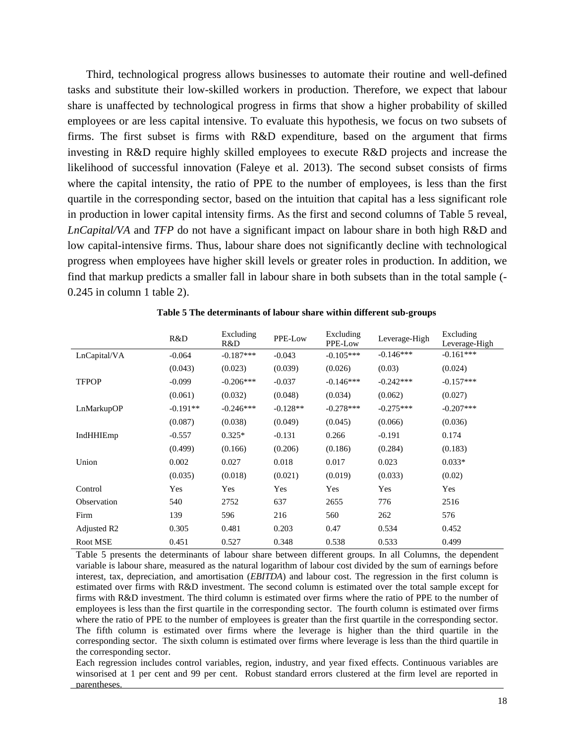Third, technological progress allows businesses to automate their routine and well-defined tasks and substitute their low-skilled workers in production. Therefore, we expect that labour share is unaffected by technological progress in firms that show a higher probability of skilled employees or are less capital intensive. To evaluate this hypothesis, we focus on two subsets of firms. The first subset is firms with R&D expenditure, based on the argument that firms investing in R&D require highly skilled employees to execute R&D projects and increase the likelihood of successful innovation (Faleye et al. 2013). The second subset consists of firms where the capital intensity, the ratio of PPE to the number of employees, is less than the first quartile in the corresponding sector, based on the intuition that capital has a less significant role in production in lower capital intensity firms. As the first and second columns of Table 5 reveal, *LnCapital/VA* and *TFP* do not have a significant impact on labour share in both high R&D and low capital-intensive firms. Thus, labour share does not significantly decline with technological progress when employees have higher skill levels or greater roles in production. In addition, we find that markup predicts a smaller fall in labour share in both subsets than in the total sample (- 0.245 in column 1 table 2).

|                         | R&D        | Excluding<br>R&D | PPE-Low    | Excluding<br>PPE-Low | Leverage-High | Excluding<br>Leverage-High |
|-------------------------|------------|------------------|------------|----------------------|---------------|----------------------------|
| LnCapital/VA            | $-0.064$   | $-0.187***$      | $-0.043$   | $-0.105***$          | $-0.146***$   | $-0.161***$                |
|                         | (0.043)    | (0.023)          | (0.039)    | (0.026)              | (0.03)        | (0.024)                    |
| <b>TFPOP</b>            | $-0.099$   | $-0.206***$      | $-0.037$   | $-0.146***$          | $-0.242***$   | $-0.157***$                |
|                         | (0.061)    | (0.032)          | (0.048)    | (0.034)              | (0.062)       | (0.027)                    |
| LnMarkupOP              | $-0.191**$ | $-0.246***$      | $-0.128**$ | $-0.278***$          | $-0.275***$   | $-0.207***$                |
|                         | (0.087)    | (0.038)          | (0.049)    | (0.045)              | (0.066)       | (0.036)                    |
| IndHHIEmp               | $-0.557$   | $0.325*$         | $-0.131$   | 0.266                | $-0.191$      | 0.174                      |
|                         | (0.499)    | (0.166)          | (0.206)    | (0.186)              | (0.284)       | (0.183)                    |
| Union                   | 0.002      | 0.027            | 0.018      | 0.017                | 0.023         | $0.033*$                   |
|                         | (0.035)    | (0.018)          | (0.021)    | (0.019)              | (0.033)       | (0.02)                     |
| Control                 | Yes        | Yes              | Yes        | Yes                  | Yes           | Yes                        |
| Observation             | 540        | 2752             | 637        | 2655                 | 776           | 2516                       |
| Firm                    | 139        | 596              | 216        | 560                  | 262           | 576                        |
| Adjusted R <sub>2</sub> | 0.305      | 0.481            | 0.203      | 0.47                 | 0.534         | 0.452                      |
| Root MSE                | 0.451      | 0.527            | 0.348      | 0.538                | 0.533         | 0.499                      |

**Table 5 The determinants of labour share within different sub-groups**

Table 5 presents the determinants of labour share between different groups. In all Columns, the dependent variable is labour share, measured as the natural logarithm of labour cost divided by the sum of earnings before interest, tax, depreciation, and amortisation (*EBITDA*) and labour cost. The regression in the first column is estimated over firms with R&D investment. The second column is estimated over the total sample except for firms with R&D investment. The third column is estimated over firms where the ratio of PPE to the number of employees is less than the first quartile in the corresponding sector. The fourth column is estimated over firms where the ratio of PPE to the number of employees is greater than the first quartile in the corresponding sector. The fifth column is estimated over firms where the leverage is higher than the third quartile in the corresponding sector. The sixth column is estimated over firms where leverage is less than the third quartile in the corresponding sector.

Each regression includes control variables, region, industry, and year fixed effects. Continuous variables are winsorised at 1 per cent and 99 per cent. Robust standard errors clustered at the firm level are reported in parentheses.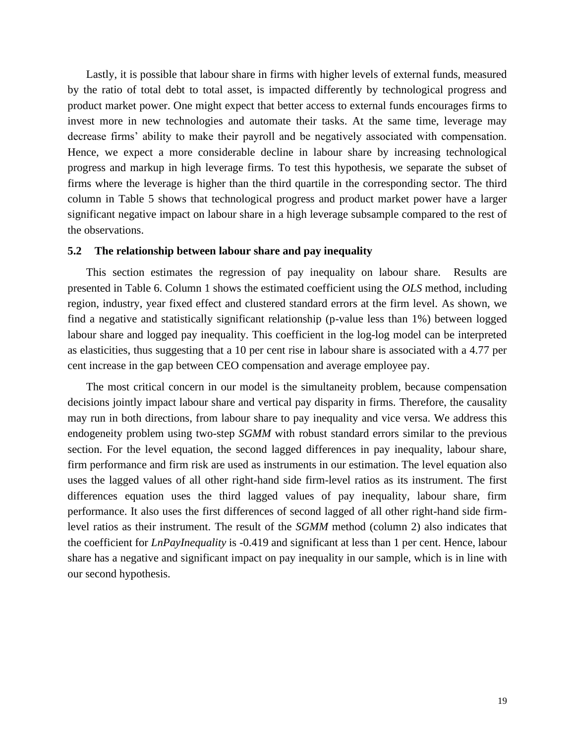Lastly, it is possible that labour share in firms with higher levels of external funds, measured by the ratio of total debt to total asset, is impacted differently by technological progress and product market power. One might expect that better access to external funds encourages firms to invest more in new technologies and automate their tasks. At the same time, leverage may decrease firms' ability to make their payroll and be negatively associated with compensation. Hence, we expect a more considerable decline in labour share by increasing technological progress and markup in high leverage firms. To test this hypothesis, we separate the subset of firms where the leverage is higher than the third quartile in the corresponding sector. The third column in Table 5 shows that technological progress and product market power have a larger significant negative impact on labour share in a high leverage subsample compared to the rest of the observations.

#### **5.2 The relationship between labour share and pay inequality**

This section estimates the regression of pay inequality on labour share. Results are presented in Table 6. Column 1 shows the estimated coefficient using the *OLS* method, including region, industry, year fixed effect and clustered standard errors at the firm level. As shown, we find a negative and statistically significant relationship (p-value less than 1%) between logged labour share and logged pay inequality. This coefficient in the log-log model can be interpreted as elasticities, thus suggesting that a 10 per cent rise in labour share is associated with a 4.77 per cent increase in the gap between CEO compensation and average employee pay.

The most critical concern in our model is the simultaneity problem, because compensation decisions jointly impact labour share and vertical pay disparity in firms. Therefore, the causality may run in both directions, from labour share to pay inequality and vice versa. We address this endogeneity problem using two-step *SGMM* with robust standard errors similar to the previous section. For the level equation, the second lagged differences in pay inequality, labour share, firm performance and firm risk are used as instruments in our estimation. The level equation also uses the lagged values of all other right-hand side firm-level ratios as its instrument. The first differences equation uses the third lagged values of pay inequality, labour share, firm performance. It also uses the first differences of second lagged of all other right-hand side firmlevel ratios as their instrument. The result of the *SGMM* method (column 2) also indicates that the coefficient for *LnPayInequality* is -0.419 and significant at less than 1 per cent. Hence, labour share has a negative and significant impact on pay inequality in our sample, which is in line with our second hypothesis.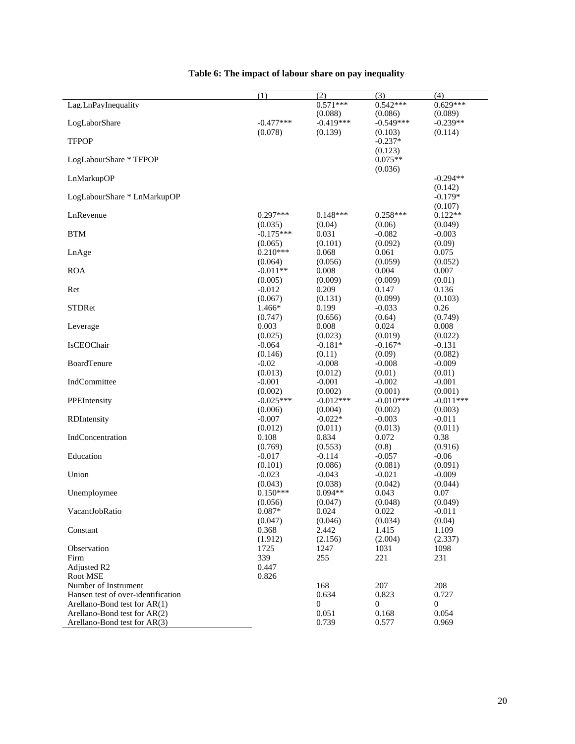|                                    | (1)                 | (2)                  | (3)                  | (4)                 |
|------------------------------------|---------------------|----------------------|----------------------|---------------------|
| Lag.LnPayInequality                |                     | $0.571***$           | $0.542***$           | $0.629***$          |
|                                    |                     | (0.088)              | (0.086)              | (0.089)             |
| LogLaborShare                      | $-0.477***$         | $-0.419***$          | $-0.549***$          | $-0.239**$          |
|                                    | (0.078)             | (0.139)              | (0.103)              | (0.114)             |
| <b>TFPOP</b>                       |                     |                      | $-0.237*$            |                     |
|                                    |                     |                      | (0.123)              |                     |
| LogLabourShare * TFPOP             |                     |                      | $0.075**$            |                     |
|                                    |                     |                      | (0.036)              | $-0.294**$          |
| LnMarkupOP                         |                     |                      |                      | (0.142)             |
| LogLabourShare * LnMarkupOP        |                     |                      |                      | $-0.179*$           |
|                                    |                     |                      |                      | (0.107)             |
| LnRevenue                          | $0.297***$          | $0.148***$           | $0.258***$           | $0.122**$           |
|                                    | (0.035)             | (0.04)               | (0.06)               | (0.049)             |
| <b>BTM</b>                         | $-0.175***$         | 0.031                | $-0.082$             | $-0.003$            |
|                                    | (0.065)             | (0.101)              | (0.092)              | (0.09)              |
| LnAge                              | $0.210***$          | 0.068                | 0.061                | 0.075               |
|                                    | (0.064)             | (0.056)              | (0.059)              | (0.052)             |
| <b>ROA</b>                         | $-0.011**$          | 0.008                | 0.004                | 0.007               |
|                                    | (0.005)             | (0.009)              | (0.009)              | (0.01)              |
| Ret                                | $-0.012$            | 0.209                | 0.147                | 0.136               |
|                                    | (0.067)             | (0.131)              | (0.099)              | (0.103)             |
| <b>STDRet</b>                      | 1.466*              | 0.199                | $-0.033$             | 0.26                |
|                                    | (0.747)             | (0.656)              | (0.64)               | (0.749)             |
| Leverage                           | 0.003               | 0.008                | 0.024                | 0.008               |
| IsCEOChair                         | (0.025)<br>$-0.064$ | (0.023)<br>$-0.181*$ | (0.019)<br>$-0.167*$ | (0.022)<br>$-0.131$ |
|                                    | (0.146)             | (0.11)               | (0.09)               | (0.082)             |
| BoardTenure                        | $-0.02$             | $-0.008$             | $-0.008$             | $-0.009$            |
|                                    | (0.013)             | (0.012)              | (0.01)               | (0.01)              |
| IndCommittee                       | $-0.001$            | $-0.001$             | $-0.002$             | $-0.001$            |
|                                    | (0.002)             | (0.002)              | (0.001)              | (0.001)             |
| PPEIntensity                       | $-0.025***$         | $-0.012***$          | $-0.010***$          | $-0.011***$         |
|                                    | (0.006)             | (0.004)              | (0.002)              | (0.003)             |
| RDIntensity                        | $-0.007$            | $-0.022*$            | $-0.003$             | $-0.011$            |
|                                    | (0.012)             | (0.011)              | (0.013)              | (0.011)             |
| IndConcentration                   | 0.108               | 0.834                | 0.072                | 0.38                |
|                                    | (0.769)             | (0.553)              | (0.8)                | (0.916)             |
| Education                          | $-0.017$            | $-0.114$             | $-0.057$             | $-0.06$             |
|                                    | (0.101)<br>$-0.023$ | (0.086)              | (0.081)              | (0.091)             |
| Union                              | (0.043)             | $-0.043$<br>(0.038)  | $-0.021$<br>(0.042)  | $-0.009$<br>(0.044) |
| Unemploymee                        | $0.150***$          | $0.094**$            | 0.043                | 0.07                |
|                                    | (0.056)             | (0.047)              | (0.048)              | (0.049)             |
| VacantJobRatio                     | $0.087*$            | 0.024                | 0.022                | $-0.011$            |
|                                    | (0.047)             | (0.046)              | (0.034)              | (0.04)              |
| Constant                           | 0.368               | 2.442                | 1.415                | 1.109               |
|                                    | (1.912)             | (2.156)              | (2.004)              | (2.337)             |
| Observation                        | 1725                | 1247                 | 1031                 | 1098                |
| Firm                               | 339                 | 255                  | 221                  | 231                 |
| Adjusted R2                        | 0.447               |                      |                      |                     |
| Root MSE                           | 0.826               |                      |                      |                     |
| Number of Instrument               |                     | 168                  | 207                  | 208                 |
| Hansen test of over-identification |                     | 0.634                | 0.823                | 0.727               |
| Arellano-Bond test for $AR(1)$     |                     | $\mathbf{0}$         | 0                    | 0                   |
| Arellano-Bond test for AR(2)       |                     | 0.051                | 0.168                | 0.054               |
| Arellano-Bond test for AR(3)       |                     | 0.739                | 0.577                | 0.969               |

## **Table 6: The impact of labour share on pay inequality**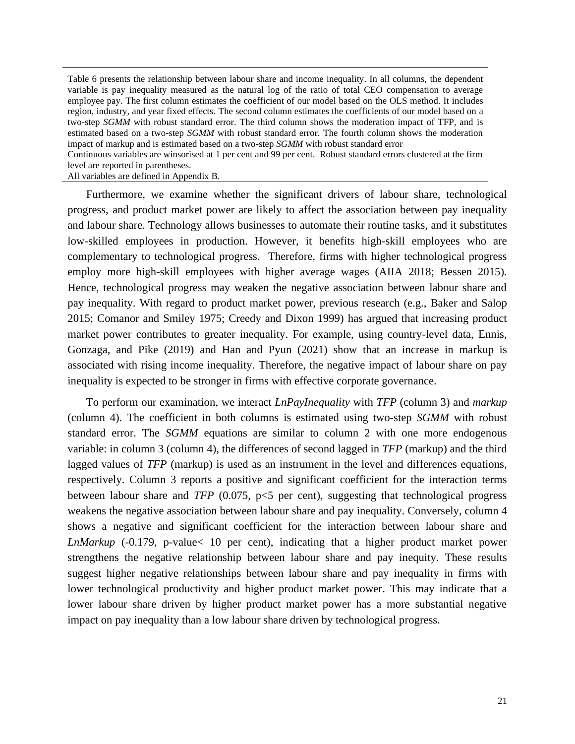Table 6 presents the relationship between labour share and income inequality. In all columns, the dependent variable is pay inequality measured as the natural log of the ratio of total CEO compensation to average employee pay. The first column estimates the coefficient of our model based on the OLS method. It includes region, industry, and year fixed effects. The second column estimates the coefficients of our model based on a two-step *SGMM* with robust standard error. The third column shows the moderation impact of TFP, and is estimated based on a two-step *SGMM* with robust standard error. The fourth column shows the moderation impact of markup and is estimated based on a two-step *SGMM* with robust standard error Continuous variables are winsorised at 1 per cent and 99 per cent. Robust standard errors clustered at the firm level are reported in parentheses.

All variables are defined in Appendix B.

Furthermore, we examine whether the significant drivers of labour share, technological progress, and product market power are likely to affect the association between pay inequality and labour share. Technology allows businesses to automate their routine tasks, and it substitutes low-skilled employees in production. However, it benefits high-skill employees who are complementary to technological progress. Therefore, firms with higher technological progress employ more high-skill employees with higher average wages (AIIA 2018; Bessen 2015). Hence, technological progress may weaken the negative association between labour share and pay inequality. With regard to product market power, previous research (e.g., Baker and Salop 2015; Comanor and Smiley 1975; Creedy and Dixon 1999) has argued that increasing product market power contributes to greater inequality. For example, using country-level data, Ennis, Gonzaga, and Pike (2019) and Han and Pyun (2021) show that an increase in markup is associated with rising income inequality. Therefore, the negative impact of labour share on pay inequality is expected to be stronger in firms with effective corporate governance.

To perform our examination, we interact *LnPayInequality* with *TFP* (column 3) and *markup* (column 4). The coefficient in both columns is estimated using two-step *SGMM* with robust standard error. The *SGMM* equations are similar to column 2 with one more endogenous variable: in column 3 (column 4), the differences of second lagged in *TFP* (markup) and the third lagged values of *TFP* (markup) is used as an instrument in the level and differences equations, respectively. Column 3 reports a positive and significant coefficient for the interaction terms between labour share and *TFP* (0.075, p<5 per cent), suggesting that technological progress weakens the negative association between labour share and pay inequality. Conversely, column 4 shows a negative and significant coefficient for the interaction between labour share and *LnMarkup* (-0.179, p-value< 10 per cent), indicating that a higher product market power strengthens the negative relationship between labour share and pay inequity. These results suggest higher negative relationships between labour share and pay inequality in firms with lower technological productivity and higher product market power. This may indicate that a lower labour share driven by higher product market power has a more substantial negative impact on pay inequality than a low labour share driven by technological progress.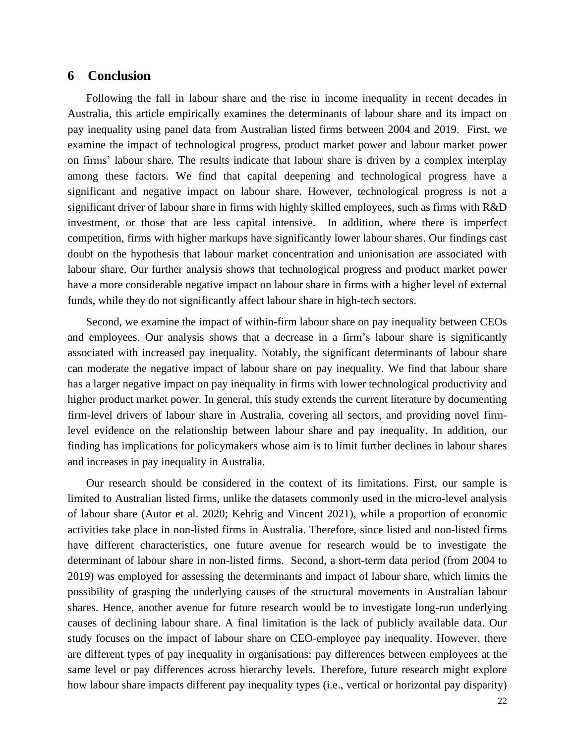## **6 Conclusion**

Following the fall in labour share and the rise in income inequality in recent decades in Australia, this article empirically examines the determinants of labour share and its impact on pay inequality using panel data from Australian listed firms between 2004 and 2019. First, we examine the impact of technological progress, product market power and labour market power on firms' labour share. The results indicate that labour share is driven by a complex interplay among these factors. We find that capital deepening and technological progress have a significant and negative impact on labour share. However, technological progress is not a significant driver of labour share in firms with highly skilled employees, such as firms with R&D investment, or those that are less capital intensive. In addition, where there is imperfect competition, firms with higher markups have significantly lower labour shares. Our findings cast doubt on the hypothesis that labour market concentration and unionisation are associated with labour share. Our further analysis shows that technological progress and product market power have a more considerable negative impact on labour share in firms with a higher level of external funds, while they do not significantly affect labour share in high-tech sectors.

Second, we examine the impact of within-firm labour share on pay inequality between CEOs and employees. Our analysis shows that a decrease in a firm's labour share is significantly associated with increased pay inequality. Notably, the significant determinants of labour share can moderate the negative impact of labour share on pay inequality. We find that labour share has a larger negative impact on pay inequality in firms with lower technological productivity and higher product market power. In general, this study extends the current literature by documenting firm-level drivers of labour share in Australia, covering all sectors, and providing novel firmlevel evidence on the relationship between labour share and pay inequality. In addition, our finding has implications for policymakers whose aim is to limit further declines in labour shares and increases in pay inequality in Australia.

Our research should be considered in the context of its limitations. First, our sample is limited to Australian listed firms, unlike the datasets commonly used in the micro-level analysis of labour share (Autor et al. 2020; Kehrig and Vincent 2021), while a proportion of economic activities take place in non-listed firms in Australia. Therefore, since listed and non-listed firms have different characteristics, one future avenue for research would be to investigate the determinant of labour share in non-listed firms. Second, a short-term data period (from 2004 to 2019) was employed for assessing the determinants and impact of labour share, which limits the possibility of grasping the underlying causes of the structural movements in Australian labour shares. Hence, another avenue for future research would be to investigate long-run underlying causes of declining labour share. A final limitation is the lack of publicly available data. Our study focuses on the impact of labour share on CEO-employee pay inequality. However, there are different types of pay inequality in organisations: pay differences between employees at the same level or pay differences across hierarchy levels. Therefore, future research might explore how labour share impacts different pay inequality types (i.e., vertical or horizontal pay disparity)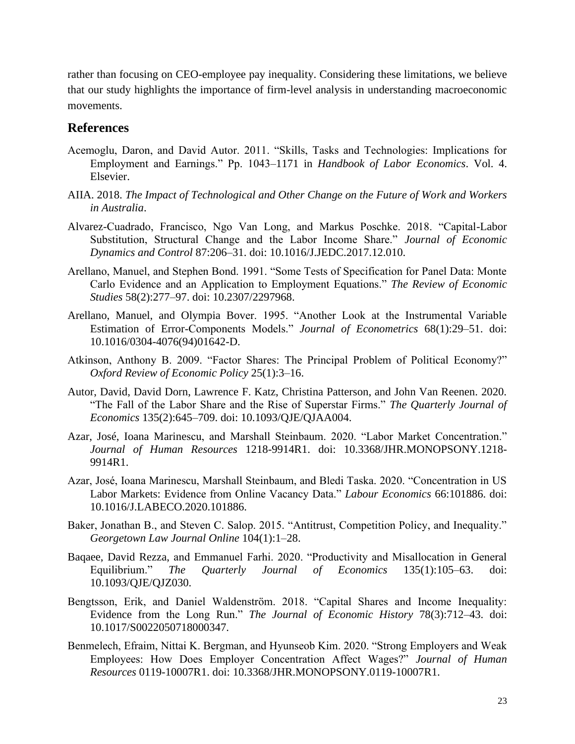rather than focusing on CEO-employee pay inequality. Considering these limitations, we believe that our study highlights the importance of firm-level analysis in understanding macroeconomic movements.

## **References**

- Acemoglu, Daron, and David Autor. 2011. "Skills, Tasks and Technologies: Implications for Employment and Earnings." Pp. 1043–1171 in *Handbook of Labor Economics*. Vol. 4. Elsevier.
- AIIA. 2018. *The Impact of Technological and Other Change on the Future of Work and Workers in Australia*.
- Alvarez-Cuadrado, Francisco, Ngo Van Long, and Markus Poschke. 2018. "Capital-Labor Substitution, Structural Change and the Labor Income Share." *Journal of Economic Dynamics and Control* 87:206–31. doi: 10.1016/J.JEDC.2017.12.010.
- Arellano, Manuel, and Stephen Bond. 1991. "Some Tests of Specification for Panel Data: Monte Carlo Evidence and an Application to Employment Equations." *The Review of Economic Studies* 58(2):277–97. doi: 10.2307/2297968.
- Arellano, Manuel, and Olympia Bover. 1995. "Another Look at the Instrumental Variable Estimation of Error-Components Models." *Journal of Econometrics* 68(1):29–51. doi: 10.1016/0304-4076(94)01642-D.
- Atkinson, Anthony B. 2009. "Factor Shares: The Principal Problem of Political Economy?" *Oxford Review of Economic Policy* 25(1):3–16.
- Autor, David, David Dorn, Lawrence F. Katz, Christina Patterson, and John Van Reenen. 2020. "The Fall of the Labor Share and the Rise of Superstar Firms." *The Quarterly Journal of Economics* 135(2):645–709. doi: 10.1093/QJE/QJAA004.
- Azar, José, Ioana Marinescu, and Marshall Steinbaum. 2020. "Labor Market Concentration." *Journal of Human Resources* 1218-9914R1. doi: 10.3368/JHR.MONOPSONY.1218- 9914R1.
- Azar, José, Ioana Marinescu, Marshall Steinbaum, and Bledi Taska. 2020. "Concentration in US Labor Markets: Evidence from Online Vacancy Data." *Labour Economics* 66:101886. doi: 10.1016/J.LABECO.2020.101886.
- Baker, Jonathan B., and Steven C. Salop. 2015. "Antitrust, Competition Policy, and Inequality." *Georgetown Law Journal Online* 104(1):1–28.
- Baqaee, David Rezza, and Emmanuel Farhi. 2020. "Productivity and Misallocation in General Equilibrium." *The Quarterly Journal of Economics* 135(1):105–63. doi: 10.1093/QJE/QJZ030.
- Bengtsson, Erik, and Daniel Waldenström. 2018. "Capital Shares and Income Inequality: Evidence from the Long Run." *The Journal of Economic History* 78(3):712–43. doi: 10.1017/S0022050718000347.
- Benmelech, Efraim, Nittai K. Bergman, and Hyunseob Kim. 2020. "Strong Employers and Weak Employees: How Does Employer Concentration Affect Wages?" *Journal of Human Resources* 0119-10007R1. doi: 10.3368/JHR.MONOPSONY.0119-10007R1.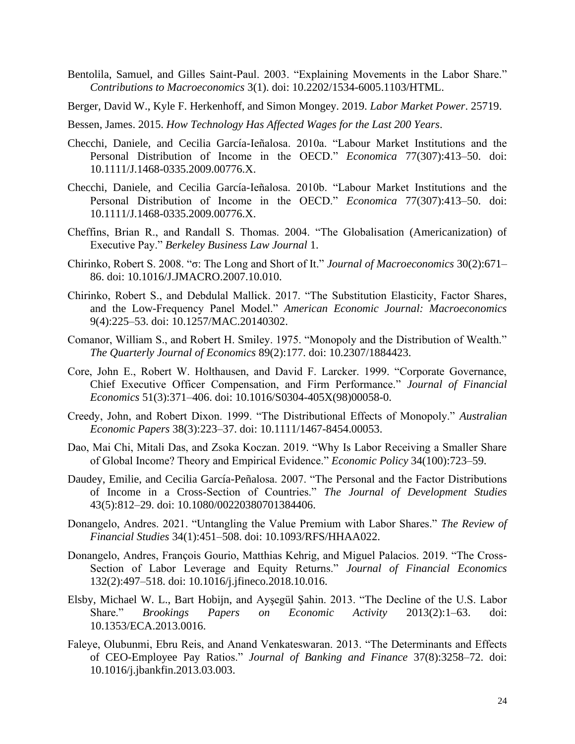- Bentolila, Samuel, and Gilles Saint-Paul. 2003. "Explaining Movements in the Labor Share." *Contributions to Macroeconomics* 3(1). doi: 10.2202/1534-6005.1103/HTML.
- Berger, David W., Kyle F. Herkenhoff, and Simon Mongey. 2019. *Labor Market Power*. 25719.
- Bessen, James. 2015. *How Technology Has Affected Wages for the Last 200 Years*.
- Checchi, Daniele, and Cecilia García-Ieñalosa. 2010a. "Labour Market Institutions and the Personal Distribution of Income in the OECD." *Economica* 77(307):413–50. doi: 10.1111/J.1468-0335.2009.00776.X.
- Checchi, Daniele, and Cecilia García-Ieñalosa. 2010b. "Labour Market Institutions and the Personal Distribution of Income in the OECD." *Economica* 77(307):413–50. doi: 10.1111/J.1468-0335.2009.00776.X.
- Cheffins, Brian R., and Randall S. Thomas. 2004. "The Globalisation (Americanization) of Executive Pay." *Berkeley Business Law Journal* 1.
- Chirinko, Robert S. 2008. "σ: The Long and Short of It." *Journal of Macroeconomics* 30(2):671– 86. doi: 10.1016/J.JMACRO.2007.10.010.
- Chirinko, Robert S., and Debdulal Mallick. 2017. "The Substitution Elasticity, Factor Shares, and the Low-Frequency Panel Model." *American Economic Journal: Macroeconomics* 9(4):225–53. doi: 10.1257/MAC.20140302.
- Comanor, William S., and Robert H. Smiley. 1975. "Monopoly and the Distribution of Wealth." *The Quarterly Journal of Economics* 89(2):177. doi: 10.2307/1884423.
- Core, John E., Robert W. Holthausen, and David F. Larcker. 1999. "Corporate Governance, Chief Executive Officer Compensation, and Firm Performance." *Journal of Financial Economics* 51(3):371–406. doi: 10.1016/S0304-405X(98)00058-0.
- Creedy, John, and Robert Dixon. 1999. "The Distributional Effects of Monopoly." *Australian Economic Papers* 38(3):223–37. doi: 10.1111/1467-8454.00053.
- Dao, Mai Chi, Mitali Das, and Zsoka Koczan. 2019. "Why Is Labor Receiving a Smaller Share of Global Income? Theory and Empirical Evidence." *Economic Policy* 34(100):723–59.
- Daudey, Emilie, and Cecilia García-Peñalosa. 2007. "The Personal and the Factor Distributions of Income in a Cross-Section of Countries." *The Journal of Development Studies* 43(5):812–29. doi: 10.1080/00220380701384406.
- Donangelo, Andres. 2021. "Untangling the Value Premium with Labor Shares." *The Review of Financial Studies* 34(1):451–508. doi: 10.1093/RFS/HHAA022.
- Donangelo, Andres, François Gourio, Matthias Kehrig, and Miguel Palacios. 2019. "The Cross-Section of Labor Leverage and Equity Returns." *Journal of Financial Economics* 132(2):497–518. doi: 10.1016/j.jfineco.2018.10.016.
- Elsby, Michael W. L., Bart Hobijn, and Ayşegül Şahin. 2013. "The Decline of the U.S. Labor Share." *Brookings Papers on Economic Activity* 2013(2):1–63. doi: 10.1353/ECA.2013.0016.
- Faleye, Olubunmi, Ebru Reis, and Anand Venkateswaran. 2013. "The Determinants and Effects of CEO-Employee Pay Ratios." *Journal of Banking and Finance* 37(8):3258–72. doi: 10.1016/j.jbankfin.2013.03.003.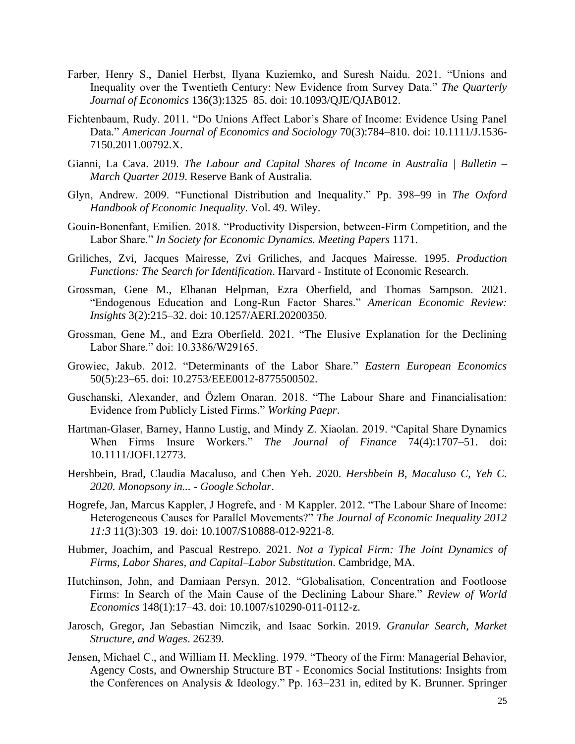- Farber, Henry S., Daniel Herbst, Ilyana Kuziemko, and Suresh Naidu. 2021. "Unions and Inequality over the Twentieth Century: New Evidence from Survey Data." *The Quarterly Journal of Economics* 136(3):1325–85. doi: 10.1093/QJE/QJAB012.
- Fichtenbaum, Rudy. 2011. "Do Unions Affect Labor's Share of Income: Evidence Using Panel Data." *American Journal of Economics and Sociology* 70(3):784–810. doi: 10.1111/J.1536- 7150.2011.00792.X.
- Gianni, La Cava. 2019. *The Labour and Capital Shares of Income in Australia | Bulletin – March Quarter 2019*. Reserve Bank of Australia.
- Glyn, Andrew. 2009. "Functional Distribution and Inequality." Pp. 398–99 in *The Oxford Handbook of Economic Inequality*. Vol. 49. Wiley.
- Gouin-Bonenfant, Emilien. 2018. "Productivity Dispersion, between-Firm Competition, and the Labor Share." *In Society for Economic Dynamics. Meeting Papers* 1171.
- Griliches, Zvi, Jacques Mairesse, Zvi Griliches, and Jacques Mairesse. 1995. *Production Functions: The Search for Identification*. Harvard - Institute of Economic Research.
- Grossman, Gene M., Elhanan Helpman, Ezra Oberfield, and Thomas Sampson. 2021. "Endogenous Education and Long-Run Factor Shares." *American Economic Review: Insights* 3(2):215–32. doi: 10.1257/AERI.20200350.
- Grossman, Gene M., and Ezra Oberfield. 2021. "The Elusive Explanation for the Declining Labor Share." doi: 10.3386/W29165.
- Growiec, Jakub. 2012. "Determinants of the Labor Share." *Eastern European Economics*  50(5):23–65. doi: 10.2753/EEE0012-8775500502.
- Guschanski, Alexander, and Özlem Onaran. 2018. "The Labour Share and Financialisation: Evidence from Publicly Listed Firms." *Working Paepr*.
- Hartman-Glaser, Barney, Hanno Lustig, and Mindy Z. Xiaolan. 2019. "Capital Share Dynamics When Firms Insure Workers." *The Journal of Finance* 74(4):1707–51. doi: 10.1111/JOFI.12773.
- Hershbein, Brad, Claudia Macaluso, and Chen Yeh. 2020. *Hershbein B, Macaluso C, Yeh C. 2020. Monopsony in... - Google Scholar*.
- Hogrefe, Jan, Marcus Kappler, J Hogrefe, and · M Kappler. 2012. "The Labour Share of Income: Heterogeneous Causes for Parallel Movements?" *The Journal of Economic Inequality 2012 11:3* 11(3):303–19. doi: 10.1007/S10888-012-9221-8.
- Hubmer, Joachim, and Pascual Restrepo. 2021. *Not a Typical Firm: The Joint Dynamics of Firms, Labor Shares, and Capital–Labor Substitution*. Cambridge, MA.
- Hutchinson, John, and Damiaan Persyn. 2012. "Globalisation, Concentration and Footloose Firms: In Search of the Main Cause of the Declining Labour Share." *Review of World Economics* 148(1):17–43. doi: 10.1007/s10290-011-0112-z.
- Jarosch, Gregor, Jan Sebastian Nimczik, and Isaac Sorkin. 2019. *Granular Search, Market Structure, and Wages*. 26239.
- Jensen, Michael C., and William H. Meckling. 1979. "Theory of the Firm: Managerial Behavior, Agency Costs, and Ownership Structure BT - Economics Social Institutions: Insights from the Conferences on Analysis & Ideology." Pp. 163–231 in, edited by K. Brunner. Springer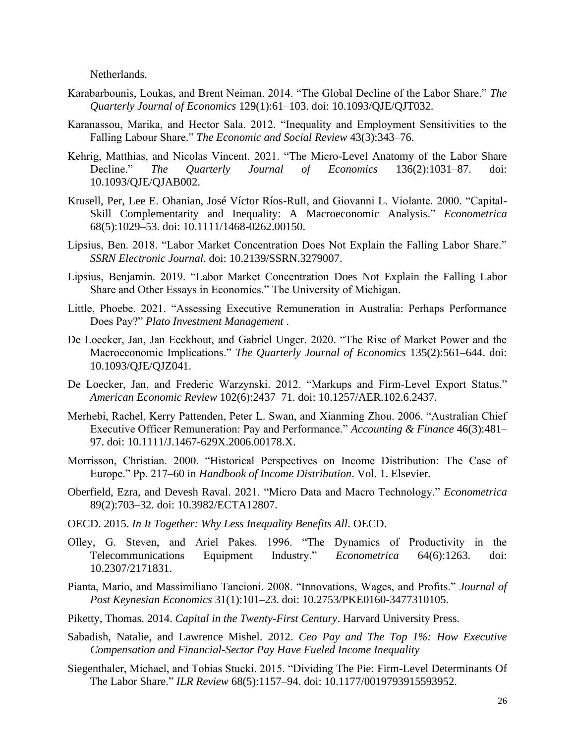Netherlands.

- Karabarbounis, Loukas, and Brent Neiman. 2014. "The Global Decline of the Labor Share." *The Quarterly Journal of Economics* 129(1):61–103. doi: 10.1093/QJE/QJT032.
- Karanassou, Marika, and Hector Sala. 2012. "Inequality and Employment Sensitivities to the Falling Labour Share." *The Economic and Social Review* 43(3):343–76.
- Kehrig, Matthias, and Nicolas Vincent. 2021. "The Micro-Level Anatomy of the Labor Share Decline." *The Quarterly Journal of Economics* 136(2):1031–87. doi: 10.1093/QJE/QJAB002.
- Krusell, Per, Lee E. Ohanian, José Víctor Ríos-Rull, and Giovanni L. Violante. 2000. "Capital-Skill Complementarity and Inequality: A Macroeconomic Analysis." *Econometrica* 68(5):1029–53. doi: 10.1111/1468-0262.00150.
- Lipsius, Ben. 2018. "Labor Market Concentration Does Not Explain the Falling Labor Share." *SSRN Electronic Journal*. doi: 10.2139/SSRN.3279007.
- Lipsius, Benjamin. 2019. "Labor Market Concentration Does Not Explain the Falling Labor Share and Other Essays in Economics." The University of Michigan.
- Little, Phoebe. 2021. "Assessing Executive Remuneration in Australia: Perhaps Performance Does Pay?" *Plato Investment Management* .
- De Loecker, Jan, Jan Eeckhout, and Gabriel Unger. 2020. "The Rise of Market Power and the Macroeconomic Implications." *The Quarterly Journal of Economics* 135(2):561–644. doi: 10.1093/QJE/QJZ041.
- De Loecker, Jan, and Frederic Warzynski. 2012. "Markups and Firm-Level Export Status." *American Economic Review* 102(6):2437–71. doi: 10.1257/AER.102.6.2437.
- Merhebi, Rachel, Kerry Pattenden, Peter L. Swan, and Xianming Zhou. 2006. "Australian Chief Executive Officer Remuneration: Pay and Performance." *Accounting & Finance* 46(3):481– 97. doi: 10.1111/J.1467-629X.2006.00178.X.
- Morrisson, Christian. 2000. "Historical Perspectives on Income Distribution: The Case of Europe." Pp. 217–60 in *Handbook of Income Distribution*. Vol. 1. Elsevier.
- Oberfield, Ezra, and Devesh Raval. 2021. "Micro Data and Macro Technology." *Econometrica* 89(2):703–32. doi: 10.3982/ECTA12807.
- OECD. 2015. *In It Together: Why Less Inequality Benefits All*. OECD.
- Olley, G. Steven, and Ariel Pakes. 1996. "The Dynamics of Productivity in the Telecommunications Equipment Industry." *Econometrica* 64(6):1263. doi: 10.2307/2171831.
- Pianta, Mario, and Massimiliano Tancioni. 2008. "Innovations, Wages, and Profits." *Journal of Post Keynesian Economics* 31(1):101–23. doi: 10.2753/PKE0160-3477310105.
- Piketty, Thomas. 2014. *Capital in the Twenty-First Century*. Harvard University Press.
- Sabadish, Natalie, and Lawrence Mishel. 2012. *Ceo Pay and The Top 1%: How Executive Compensation and Financial-Sector Pay Have Fueled Income Inequality*
- Siegenthaler, Michael, and Tobias Stucki. 2015. "Dividing The Pie: Firm-Level Determinants Of The Labor Share." *ILR Review* 68(5):1157–94. doi: 10.1177/0019793915593952.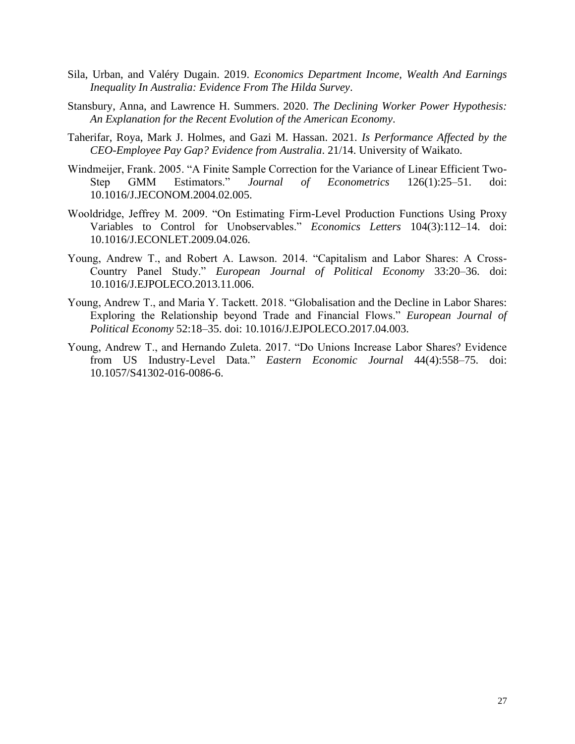- Sila, Urban, and Valéry Dugain. 2019. *Economics Department Income, Wealth And Earnings Inequality In Australia: Evidence From The Hilda Survey*.
- Stansbury, Anna, and Lawrence H. Summers. 2020. *The Declining Worker Power Hypothesis: An Explanation for the Recent Evolution of the American Economy*.
- Taherifar, Roya, Mark J. Holmes, and Gazi M. Hassan. 2021. *Is Performance Affected by the CEO-Employee Pay Gap? Evidence from Australia*. 21/14. University of Waikato.
- Windmeijer, Frank. 2005. "A Finite Sample Correction for the Variance of Linear Efficient Two-Step GMM Estimators." *Journal of Econometrics* 126(1):25–51. doi: 10.1016/J.JECONOM.2004.02.005.
- Wooldridge, Jeffrey M. 2009. "On Estimating Firm-Level Production Functions Using Proxy Variables to Control for Unobservables." *Economics Letters* 104(3):112–14. doi: 10.1016/J.ECONLET.2009.04.026.
- Young, Andrew T., and Robert A. Lawson. 2014. "Capitalism and Labor Shares: A Cross-Country Panel Study." *European Journal of Political Economy* 33:20–36. doi: 10.1016/J.EJPOLECO.2013.11.006.
- Young, Andrew T., and Maria Y. Tackett. 2018. "Globalisation and the Decline in Labor Shares: Exploring the Relationship beyond Trade and Financial Flows." *European Journal of Political Economy* 52:18–35. doi: 10.1016/J.EJPOLECO.2017.04.003.
- Young, Andrew T., and Hernando Zuleta. 2017. "Do Unions Increase Labor Shares? Evidence from US Industry-Level Data." *Eastern Economic Journal* 44(4):558–75. doi: 10.1057/S41302-016-0086-6.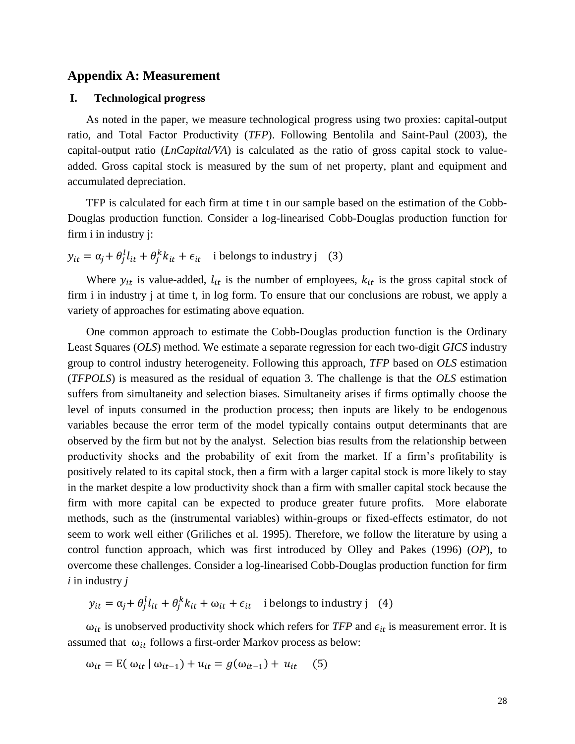## **Appendix A: Measurement**

## **I. Technological progress**

As noted in the paper, we measure technological progress using two proxies: capital-output ratio, and Total Factor Productivity (*TFP*). Following Bentolila and Saint-Paul (2003), the capital-output ratio (*LnCapital/VA*) is calculated as the ratio of gross capital stock to valueadded. Gross capital stock is measured by the sum of net property, plant and equipment and accumulated depreciation.

TFP is calculated for each firm at time t in our sample based on the estimation of the Cobb-Douglas production function. Consider a log-linearised Cobb-Douglas production function for firm i in industry j:

 $y_{it} = \alpha_j + \theta_j^l l_{it} + \theta_j^k k_{it} + \epsilon_{it}$  i belongs to industry j (3)

Where  $y_{it}$  is value-added,  $l_{it}$  is the number of employees,  $k_{it}$  is the gross capital stock of firm i in industry j at time t, in log form. To ensure that our conclusions are robust, we apply a variety of approaches for estimating above equation.

One common approach to estimate the Cobb-Douglas production function is the Ordinary Least Squares (*OLS*) method. We estimate a separate regression for each two-digit *GICS* industry group to control industry heterogeneity. Following this approach, *TFP* based on *OLS* estimation (*TFPOLS*) is measured as the residual of equation 3. The challenge is that the *OLS* estimation suffers from simultaneity and selection biases. Simultaneity arises if firms optimally choose the level of inputs consumed in the production process; then inputs are likely to be endogenous variables because the error term of the model typically contains output determinants that are observed by the firm but not by the analyst. Selection bias results from the relationship between productivity shocks and the probability of exit from the market. If a firm's profitability is positively related to its capital stock, then a firm with a larger capital stock is more likely to stay in the market despite a low productivity shock than a firm with smaller capital stock because the firm with more capital can be expected to produce greater future profits. More elaborate methods, such as the (instrumental variables) within-groups or fixed-effects estimator, do not seem to work well either (Griliches et al. 1995). Therefore, we follow the literature by using a control function approach, which was first introduced by Olley and Pakes (1996) (*OP*), to overcome these challenges. Consider a log-linearised Cobb-Douglas production function for firm *i* in industry *j*

 $y_{it} = \alpha_j + \theta_j^l l_{it} + \theta_j^k k_{it} + \omega_{it} + \epsilon_{it}$  i belongs to industry j (4)

 $\omega_{it}$  is unobserved productivity shock which refers for *TFP* and  $\epsilon_{it}$  is measurement error. It is assumed that  $\omega_{it}$  follows a first-order Markov process as below:

$$
\omega_{it} = E(\omega_{it} | \omega_{it-1}) + u_{it} = g(\omega_{it-1}) + u_{it} \quad (5)
$$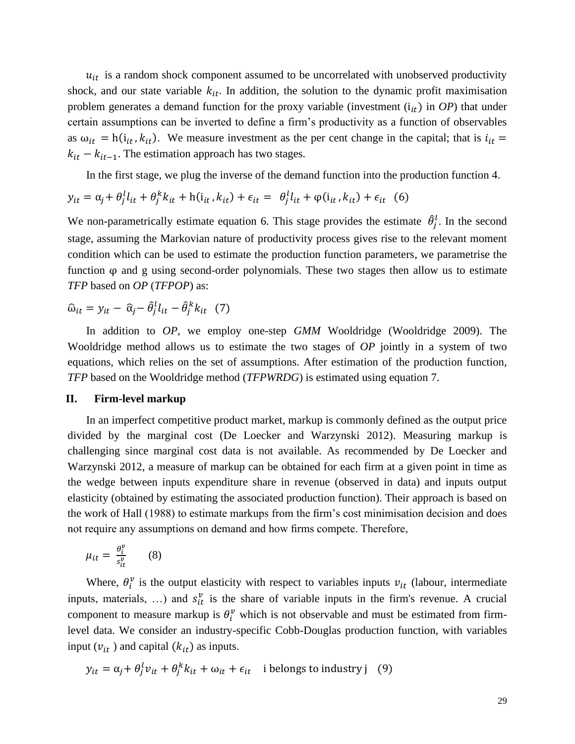$u_{it}$  is a random shock component assumed to be uncorrelated with unobserved productivity shock, and our state variable  $k_{it}$ . In addition, the solution to the dynamic profit maximisation problem generates a demand function for the proxy variable (investment  $(i_{it})$  in *OP*) that under certain assumptions can be inverted to define a firm's productivity as a function of observables as  $\omega_{it} = h(i_{it}, k_{it})$ . We measure investment as the per cent change in the capital; that is  $i_{it}$  =  $k_{it} - k_{it-1}$ . The estimation approach has two stages.

In the first stage, we plug the inverse of the demand function into the production function 4.

$$
y_{it} = \alpha_j + \theta_j^l l_{it} + \theta_j^k k_{it} + h(i_{it}, k_{it}) + \epsilon_{it} = \theta_j^l l_{it} + \varphi(i_{it}, k_{it}) + \epsilon_{it} \quad (6)
$$

We non-parametrically estimate equation 6. This stage provides the estimate  $\hat{\theta}_j^l$ . In the second stage, assuming the Markovian nature of productivity process gives rise to the relevant moment condition which can be used to estimate the production function parameters, we parametrise the function φ and g using second-order polynomials. These two stages then allow us to estimate *TFP* based on *OP* (*TFPOP*) as:

$$
\widehat{\omega}_{it} = y_{it} - \widehat{\alpha}_j - \widehat{\theta}_j^l l_{it} - \widehat{\theta}_j^k k_{it} \quad (7)
$$

In addition to *OP*, we employ one-step *GMM* Wooldridge (Wooldridge 2009). The Wooldridge method allows us to estimate the two stages of *OP* jointly in a system of two equations, which relies on the set of assumptions. After estimation of the production function, *TFP* based on the Wooldridge method (*TFPWRDG*) is estimated using equation 7.

#### **II. Firm-level markup**

In an imperfect competitive product market, markup is commonly defined as the output price divided by the marginal cost (De Loecker and Warzynski 2012). Measuring markup is challenging since marginal cost data is not available. As recommended by De Loecker and Warzynski 2012, a measure of markup can be obtained for each firm at a given point in time as the wedge between inputs expenditure share in revenue (observed in data) and inputs output elasticity (obtained by estimating the associated production function). Their approach is based on the work of Hall (1988) to estimate markups from the firm's cost minimisation decision and does not require any assumptions on demand and how firms compete. Therefore,

$$
\mu_{it} = \frac{\theta_i^v}{s_{it}^v} \qquad (8)
$$

Where,  $\theta_i^{\nu}$  is the output elasticity with respect to variables inputs  $\nu_{it}$  (labour, intermediate inputs, materials, ...) and  $s_{it}^v$  is the share of variable inputs in the firm's revenue. A crucial component to measure markup is  $\theta_i^{\nu}$  which is not observable and must be estimated from firmlevel data. We consider an industry-specific Cobb-Douglas production function, with variables input ( $v_{it}$ ) and capital ( $k_{it}$ ) as inputs.

$$
y_{it} = \alpha_j + \theta_j^l v_{it} + \theta_j^k k_{it} + \omega_{it} + \epsilon_{it}
$$
 i belongs to industry j (9)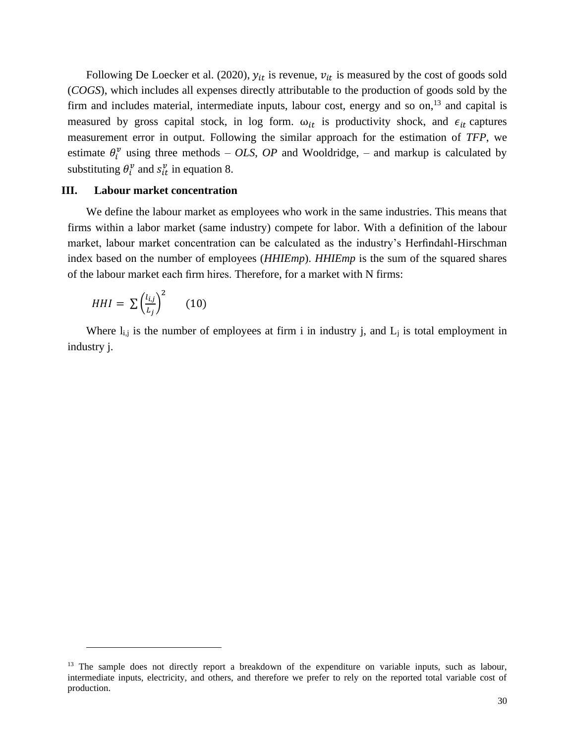Following De Loecker et al. (2020),  $y_{it}$  is revenue,  $v_{it}$  is measured by the cost of goods sold (*COGS*), which includes all expenses directly attributable to the production of goods sold by the firm and includes material, intermediate inputs, labour cost, energy and so on,<sup>13</sup> and capital is measured by gross capital stock, in log form.  $\omega_{it}$  is productivity shock, and  $\epsilon_{it}$  captures measurement error in output. Following the similar approach for the estimation of *TFP*, we estimate  $\theta_i^v$  using three methods – *OLS*, *OP* and Wooldridge, – and markup is calculated by substituting  $\theta_i^{\nu}$  and  $s_{it}^{\nu}$  in equation 8.

#### **III. Labour market concentration**

We define the labour market as employees who work in the same industries. This means that firms within a labor market (same industry) compete for labor. With a definition of the labour market, labour market concentration can be calculated as the industry's Herfindahl-Hirschman index based on the number of employees (*HHIEmp*). *HHIEmp* is the sum of the squared shares of the labour market each firm hires. Therefore, for a market with N firms:

$$
HHI = \sum \left(\frac{l_{i,j}}{L_j}\right)^2 \qquad (10)
$$

Where  $l_{i,j}$  is the number of employees at firm i in industry j, and  $L_j$  is total employment in industry j.

<sup>&</sup>lt;sup>13</sup> The sample does not directly report a breakdown of the expenditure on variable inputs, such as labour, intermediate inputs, electricity, and others, and therefore we prefer to rely on the reported total variable cost of production.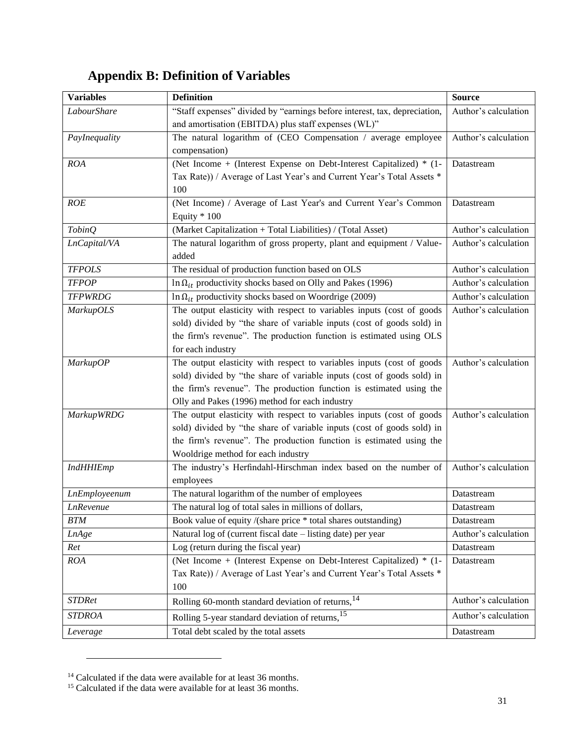## **Appendix B: Definition of Variables**

| <b>Variables</b>     | <b>Definition</b>                                                         | <b>Source</b>        |
|----------------------|---------------------------------------------------------------------------|----------------------|
| LabourShare          | "Staff expenses" divided by "earnings before interest, tax, depreciation, | Author's calculation |
|                      | and amortisation (EBITDA) plus staff expenses (WL)"                       |                      |
| PayInequality        | The natural logarithm of (CEO Compensation / average employee             | Author's calculation |
|                      | compensation)                                                             |                      |
| <b>ROA</b>           | (Net Income + (Interest Expense on Debt-Interest Capitalized) * (1-       | Datastream           |
|                      | Tax Rate)) / Average of Last Year's and Current Year's Total Assets *     |                      |
|                      | 100                                                                       |                      |
| ROE                  | (Net Income) / Average of Last Year's and Current Year's Common           | Datastream           |
|                      | Equity * 100                                                              |                      |
| <b>TobinQ</b>        | (Market Capitalization + Total Liabilities) / (Total Asset)               | Author's calculation |
| LnCapital/VA         | The natural logarithm of gross property, plant and equipment / Value-     | Author's calculation |
|                      | added                                                                     |                      |
| <b>TFPOLS</b>        | The residual of production function based on OLS                          | Author's calculation |
| <b>TFPOP</b>         | In $\Omega_{it}$ productivity shocks based on Olly and Pakes (1996)       | Author's calculation |
| <b>TFPWRDG</b>       | In $\Omega_{it}$ productivity shocks based on Woordrige (2009)            | Author's calculation |
| <b>MarkupOLS</b>     | The output elasticity with respect to variables inputs (cost of goods     | Author's calculation |
|                      | sold) divided by "the share of variable inputs (cost of goods sold) in    |                      |
|                      | the firm's revenue". The production function is estimated using OLS       |                      |
|                      | for each industry                                                         |                      |
| <b>MarkupOP</b>      | The output elasticity with respect to variables inputs (cost of goods     | Author's calculation |
|                      | sold) divided by "the share of variable inputs (cost of goods sold) in    |                      |
|                      | the firm's revenue". The production function is estimated using the       |                      |
|                      | Olly and Pakes (1996) method for each industry                            |                      |
| <b>MarkupWRDG</b>    | The output elasticity with respect to variables inputs (cost of goods     | Author's calculation |
|                      | sold) divided by "the share of variable inputs (cost of goods sold) in    |                      |
|                      | the firm's revenue". The production function is estimated using the       |                      |
|                      | Wooldrige method for each industry                                        |                      |
| <b>IndHHIEmp</b>     | The industry's Herfindahl-Hirschman index based on the number of          | Author's calculation |
|                      | employees                                                                 |                      |
| <b>LnEmployeenum</b> | The natural logarithm of the number of employees                          | Datastream           |
| <b>LnRevenue</b>     | The natural log of total sales in millions of dollars,                    | Datastream           |
| <b>BTM</b>           | Book value of equity /(share price * total shares outstanding)            | Datastream           |
| <b>LnAge</b>         | Natural log of (current fiscal date – listing date) per year              | Author's calculation |
| Ret                  | Log (return during the fiscal year)                                       | Datastream           |
| <b>ROA</b>           | (Net Income + (Interest Expense on Debt-Interest Capitalized) * (1-       | Datastream           |
|                      | Tax Rate)) / Average of Last Year's and Current Year's Total Assets *     |                      |
|                      | 100                                                                       |                      |
| <b>STDRet</b>        | Rolling 60-month standard deviation of returns, 14                        | Author's calculation |
| <b>STDROA</b>        | Rolling 5-year standard deviation of returns, <sup>15</sup>               | Author's calculation |
| Leverage             | Total debt scaled by the total assets                                     | Datastream           |

 $14$  Calculated if the data were available for at least 36 months.

<sup>&</sup>lt;sup>15</sup> Calculated if the data were available for at least 36 months.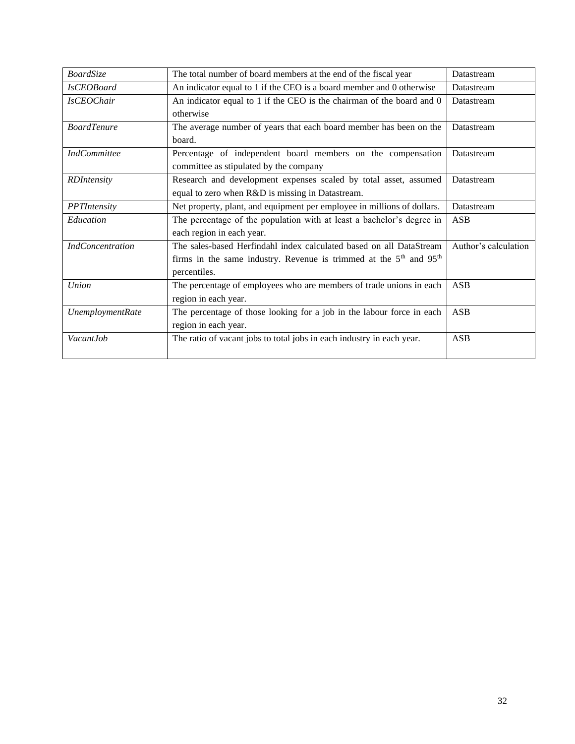| <b>BoardSize</b>        | The total number of board members at the end of the fiscal year                                                                                               | Datastream           |
|-------------------------|---------------------------------------------------------------------------------------------------------------------------------------------------------------|----------------------|
| <i>IsCEOBoard</i>       | An indicator equal to 1 if the CEO is a board member and 0 otherwise                                                                                          | Datastream           |
| <b>IsCEOChair</b>       | An indicator equal to 1 if the CEO is the chairman of the board and 0<br>otherwise                                                                            | Datastream           |
| <b>BoardTenure</b>      | The average number of years that each board member has been on the<br>board.                                                                                  | Datastream           |
| <b>IndCommittee</b>     | Percentage of independent board members on the compensation<br>committee as stipulated by the company                                                         | Datastream           |
| <b>RDIntensity</b>      | Research and development expenses scaled by total asset, assumed<br>equal to zero when R&D is missing in Datastream.                                          | Datastream           |
| PPTIntensity            | Net property, plant, and equipment per employee in millions of dollars.                                                                                       | Datastream           |
| Education               | The percentage of the population with at least a bachelor's degree in<br>each region in each year.                                                            | <b>ASB</b>           |
| <b>IndConcentration</b> | The sales-based Herfindahl index calculated based on all DataStream<br>firms in the same industry. Revenue is trimmed at the $5th$ and $95th$<br>percentiles. | Author's calculation |
| <b>Union</b>            | The percentage of employees who are members of trade unions in each<br>region in each year.                                                                   | ASB                  |
| <b>UnemploymentRate</b> | The percentage of those looking for a job in the labour force in each<br>region in each year.                                                                 | ASB                  |
| Vacant.Iob              | The ratio of vacant jobs to total jobs in each industry in each year.                                                                                         | <b>ASB</b>           |